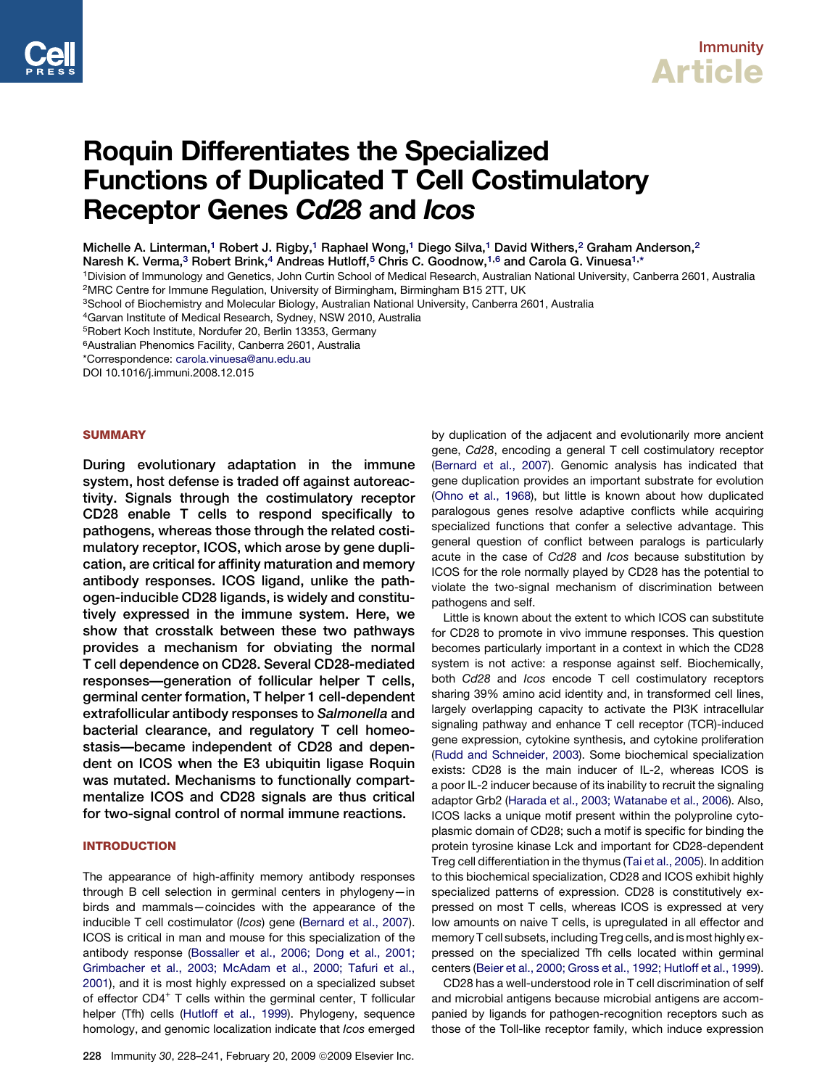

# Roquin Differentiates the Specialized Functions of Duplicated T Cell Costimulatory Receptor Genes Cd28 and Icos

Michelle A. Linterman,<sup>1</sup> Robert J. Rigby,<sup>1</sup> Raphael Wong,<sup>1</sup> Diego Silva,<sup>1</sup> David Withers,<sup>2</sup> Graham Anderson,<sup>2</sup>

Naresh K. Verma,<sup>3</sup> Robert Brink,<sup>4</sup> Andreas Hutloff,<sup>5</sup> Chris C. Goodnow,<sup>1,6</sup> and Carola G. Vinuesa<sup>1,\*</sup>

1Division of Immunology and Genetics, John Curtin School of Medical Research, Australian National University, Canberra 2601, Australia 2MRC Centre for Immune Regulation, University of Birmingham, Birmingham B15 2TT, UK

3School of Biochemistry and Molecular Biology, Australian National University, Canberra 2601, Australia

4Garvan Institute of Medical Research, Sydney, NSW 2010, Australia

5Robert Koch Institute, Nordufer 20, Berlin 13353, Germany

6Australian Phenomics Facility, Canberra 2601, Australia

\*Correspondence: [carola.vinuesa@anu.edu.au](mailto:carola.vinuesa@anu.edu.au)

DOI 10.1016/j.immuni.2008.12.015

### **SUMMARY**

During evolutionary adaptation in the immune system, host defense is traded off against autoreactivity. Signals through the costimulatory receptor CD28 enable T cells to respond specifically to pathogens, whereas those through the related costimulatory receptor, ICOS, which arose by gene duplication, are critical for affinity maturation and memory antibody responses. ICOS ligand, unlike the pathogen-inducible CD28 ligands, is widely and constitutively expressed in the immune system. Here, we show that crosstalk between these two pathways provides a mechanism for obviating the normal T cell dependence on CD28. Several CD28-mediated responses—generation of follicular helper T cells, germinal center formation, T helper 1 cell-dependent extrafollicular antibody responses to Salmonella and bacterial clearance, and regulatory T cell homeostasis—became independent of CD28 and dependent on ICOS when the E3 ubiquitin ligase Roquin was mutated. Mechanisms to functionally compartmentalize ICOS and CD28 signals are thus critical for two-signal control of normal immune reactions.

### INTRODUCTION

The appearance of high-affinity memory antibody responses through B cell selection in germinal centers in phylogeny—in birds and mammals—coincides with the appearance of the inducible T cell costimulator (*Icos*) gene ([Bernard et al., 2007](#page-11-0)). ICOS is critical in man and mouse for this specialization of the antibody response ([Bossaller et al., 2006; Dong et al., 2001;](#page-11-0) [Grimbacher et al., 2003; McAdam et al., 2000; Tafuri et al.,](#page-11-0) [2001](#page-11-0)), and it is most highly expressed on a specialized subset of effector CD4<sup>+</sup> T cells within the germinal center, T follicular helper (Tfh) cells ([Hutloff et al., 1999\)](#page-12-0). Phylogeny, sequence homology, and genomic localization indicate that *Icos* emerged

228 Immunity 30, 228-241, February 20, 2009 © 2009 Elsevier Inc.

by duplication of the adjacent and evolutionarily more ancient gene, *Cd28*, encoding a general T cell costimulatory receptor [\(Bernard et al., 2007\)](#page-11-0). Genomic analysis has indicated that gene duplication provides an important substrate for evolution [\(Ohno et al., 1968](#page-12-0)), but little is known about how duplicated paralogous genes resolve adaptive conflicts while acquiring specialized functions that confer a selective advantage. This general question of conflict between paralogs is particularly acute in the case of *Cd28* and *Icos* because substitution by ICOS for the role normally played by CD28 has the potential to violate the two-signal mechanism of discrimination between pathogens and self.

Little is known about the extent to which ICOS can substitute for CD28 to promote in vivo immune responses. This question becomes particularly important in a context in which the CD28 system is not active: a response against self. Biochemically, both *Cd28* and *Icos* encode T cell costimulatory receptors sharing 39% amino acid identity and, in transformed cell lines, largely overlapping capacity to activate the PI3K intracellular signaling pathway and enhance T cell receptor (TCR)-induced gene expression, cytokine synthesis, and cytokine proliferation [\(Rudd and Schneider, 2003\)](#page-12-0). Some biochemical specialization exists: CD28 is the main inducer of IL-2, whereas ICOS is a poor IL-2 inducer because of its inability to recruit the signaling adaptor Grb2 ([Harada et al., 2003; Watanabe et al., 2006](#page-12-0)). Also, ICOS lacks a unique motif present within the polyproline cytoplasmic domain of CD28; such a motif is specific for binding the protein tyrosine kinase Lck and important for CD28-dependent Treg cell differentiation in the thymus ([Tai et al., 2005\)](#page-12-0). In addition to this biochemical specialization, CD28 and ICOS exhibit highly specialized patterns of expression. CD28 is constitutively expressed on most T cells, whereas ICOS is expressed at very low amounts on naive T cells, is upregulated in all effector and memory T cell subsets, including Treg cells, and is most highly expressed on the specialized Tfh cells located within germinal centers ([Beier et al., 2000; Gross et al., 1992; Hutloff et al., 1999](#page-11-0)).

CD28 has a well-understood role in T cell discrimination of self and microbial antigens because microbial antigens are accompanied by ligands for pathogen-recognition receptors such as those of the Toll-like receptor family, which induce expression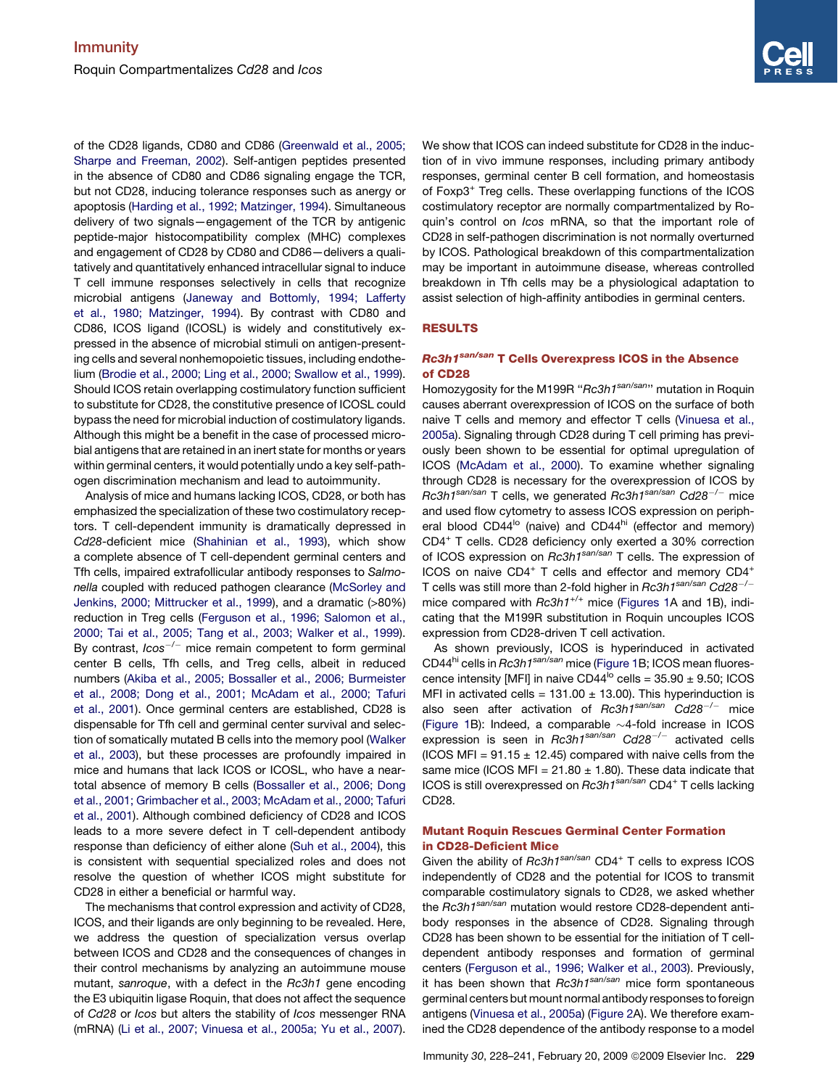of the CD28 ligands, CD80 and CD86 ([Greenwald et al., 2005;](#page-12-0) [Sharpe and Freeman, 2002\)](#page-12-0). Self-antigen peptides presented in the absence of CD80 and CD86 signaling engage the TCR, but not CD28, inducing tolerance responses such as anergy or apoptosis ([Harding et al., 1992; Matzinger, 1994](#page-12-0)). Simultaneous delivery of two signals—engagement of the TCR by antigenic peptide-major histocompatibility complex (MHC) complexes and engagement of CD28 by CD80 and CD86—delivers a qualitatively and quantitatively enhanced intracellular signal to induce T cell immune responses selectively in cells that recognize microbial antigens [\(Janeway and Bottomly, 1994; Lafferty](#page-12-0) [et al., 1980; Matzinger, 1994\)](#page-12-0). By contrast with CD80 and CD86, ICOS ligand (ICOSL) is widely and constitutively expressed in the absence of microbial stimuli on antigen-presenting cells and several nonhemopoietic tissues, including endothelium [\(Brodie et al., 2000; Ling et al., 2000; Swallow et al., 1999\)](#page-11-0). Should ICOS retain overlapping costimulatory function sufficient to substitute for CD28, the constitutive presence of ICOSL could bypass the need for microbial induction of costimulatory ligands. Although this might be a benefit in the case of processed microbial antigens that are retained in an inert state for months or years within germinal centers, it would potentially undo a key self-pathogen discrimination mechanism and lead to autoimmunity.

Analysis of mice and humans lacking ICOS, CD28, or both has emphasized the specialization of these two costimulatory receptors. T cell-dependent immunity is dramatically depressed in *Cd28*-deficient mice ([Shahinian et al., 1993](#page-12-0)), which show a complete absence of T cell-dependent germinal centers and Tfh cells, impaired extrafollicular antibody responses to *Salmonella* coupled with reduced pathogen clearance [\(McSorley and](#page-12-0) [Jenkins, 2000; Mittrucker et al., 1999](#page-12-0)), and a dramatic (>80%) reduction in Treg cells [\(Ferguson et al., 1996; Salomon et al.,](#page-11-0) [2000; Tai et al., 2005; Tang et al., 2003; Walker et al., 1999\)](#page-11-0). By contrast, *Icos<sup>-/-</sup>* mice remain competent to form germinal center B cells, Tfh cells, and Treg cells, albeit in reduced numbers ([Akiba et al., 2005; Bossaller et al., 2006; Burmeister](#page-11-0) [et al., 2008; Dong et al., 2001; McAdam et al., 2000; Tafuri](#page-11-0) [et al., 2001](#page-11-0)). Once germinal centers are established, CD28 is dispensable for Tfh cell and germinal center survival and selection of somatically mutated B cells into the memory pool [\(Walker](#page-13-0) [et al., 2003\)](#page-13-0), but these processes are profoundly impaired in mice and humans that lack ICOS or ICOSL, who have a neartotal absence of memory B cells ([Bossaller et al., 2006; Dong](#page-11-0) [et al., 2001; Grimbacher et al., 2003; McAdam et al., 2000; Tafuri](#page-11-0) [et al., 2001\)](#page-11-0). Although combined deficiency of CD28 and ICOS leads to a more severe defect in T cell-dependent antibody response than deficiency of either alone [\(Suh et al., 2004](#page-12-0)), this is consistent with sequential specialized roles and does not resolve the question of whether ICOS might substitute for CD28 in either a beneficial or harmful way.

The mechanisms that control expression and activity of CD28, ICOS, and their ligands are only beginning to be revealed. Here, we address the question of specialization versus overlap between ICOS and CD28 and the consequences of changes in their control mechanisms by analyzing an autoimmune mouse mutant, *sanroque*, with a defect in the *Rc3h1* gene encoding the E3 ubiquitin ligase Roquin, that does not affect the sequence of *Cd28* or *Icos* but alters the stability of *Icos* messenger RNA (mRNA) [\(Li et al., 2007; Vinuesa et al., 2005a; Yu et al., 2007\)](#page-12-0). We show that ICOS can indeed substitute for CD28 in the induction of in vivo immune responses, including primary antibody responses, germinal center B cell formation, and homeostasis of Foxp3<sup>+</sup> Treg cells. These overlapping functions of the ICOS costimulatory receptor are normally compartmentalized by Roquin's control on *Icos* mRNA, so that the important role of CD28 in self-pathogen discrimination is not normally overturned by ICOS. Pathological breakdown of this compartmentalization may be important in autoimmune disease, whereas controlled breakdown in Tfh cells may be a physiological adaptation to assist selection of high-affinity antibodies in germinal centers.

### RESULTS

### Rc3h1<sup>san/san</sup> T Cells Overexpress ICOS in the Absence of CD28

Homozygosity for the M199R ''*Rc3h1san/san*'' mutation in Roquin causes aberrant overexpression of ICOS on the surface of both naive T cells and memory and effector T cells [\(Vinuesa et al.,](#page-12-0) [2005a](#page-12-0)). Signaling through CD28 during T cell priming has previously been shown to be essential for optimal upregulation of ICOS ([McAdam et al., 2000\)](#page-12-0). To examine whether signaling through CD28 is necessary for the overexpression of ICOS by *Rc3h1san/san* T cells, we generated *Rc3h1san/san Cd28*-*/*- mice and used flow cytometry to assess ICOS expression on peripheral blood  $CD44^{\text{lo}}$  (naive) and  $CD44^{\text{hi}}$  (effector and memory) CD4<sup>+</sup> T cells. CD28 deficiency only exerted a 30% correction of ICOS expression on *Rc3h1san/san* T cells. The expression of ICOS on naive CD4<sup>+</sup> T cells and effector and memory CD4<sup>+</sup> T cells was still more than 2-fold higher in *Rc3h1san/san Cd28*-*/* mice compared with *Rc3h1<sup>+/+</sup>* mice ([Figures 1A](#page-2-0) and 1B), indicating that the M199R substitution in Roquin uncouples ICOS expression from CD28-driven T cell activation.

As shown previously, ICOS is hyperinduced in activated CD44hi cells in *Rc3h1san/san* mice ([Figure 1B](#page-2-0); ICOS mean fluorescence intensity [MFI] in naive CD44<sup>lo</sup> cells =  $35.90 \pm 9.50$ ; ICOS MFI in activated cells =  $131.00 \pm 13.00$ ). This hyperinduction is also seen after activation of *Rc3h1san/san Cd28*-*/*- mice [\(Figure 1B](#page-2-0)): Indeed, a comparable  $\sim$ 4-fold increase in ICOS expression is seen in *Rc3h1san/san Cd28*-*/*- activated cells (ICOS MFI =  $91.15 \pm 12.45$ ) compared with naive cells from the same mice (ICOS MFI =  $21.80 \pm 1.80$ ). These data indicate that ICOS is still overexpressed on *Rc3h1san/san* CD4<sup>+</sup> T cells lacking CD28.

### Mutant Roquin Rescues Germinal Center Formation in CD28-Deficient Mice

Given the ability of *Rc3h1san/san* CD4+ T cells to express ICOS independently of CD28 and the potential for ICOS to transmit comparable costimulatory signals to CD28, we asked whether the *Rc3h1san/san* mutation would restore CD28-dependent antibody responses in the absence of CD28. Signaling through CD28 has been shown to be essential for the initiation of T celldependent antibody responses and formation of germinal centers [\(Ferguson et al., 1996; Walker et al., 2003\)](#page-11-0). Previously, it has been shown that *Rc3h1san/san* mice form spontaneous germinal centers but mount normal antibody responses to foreign antigens ([Vinuesa et al., 2005a\)](#page-12-0) [\(Figure 2A](#page-3-0)). We therefore examined the CD28 dependence of the antibody response to a model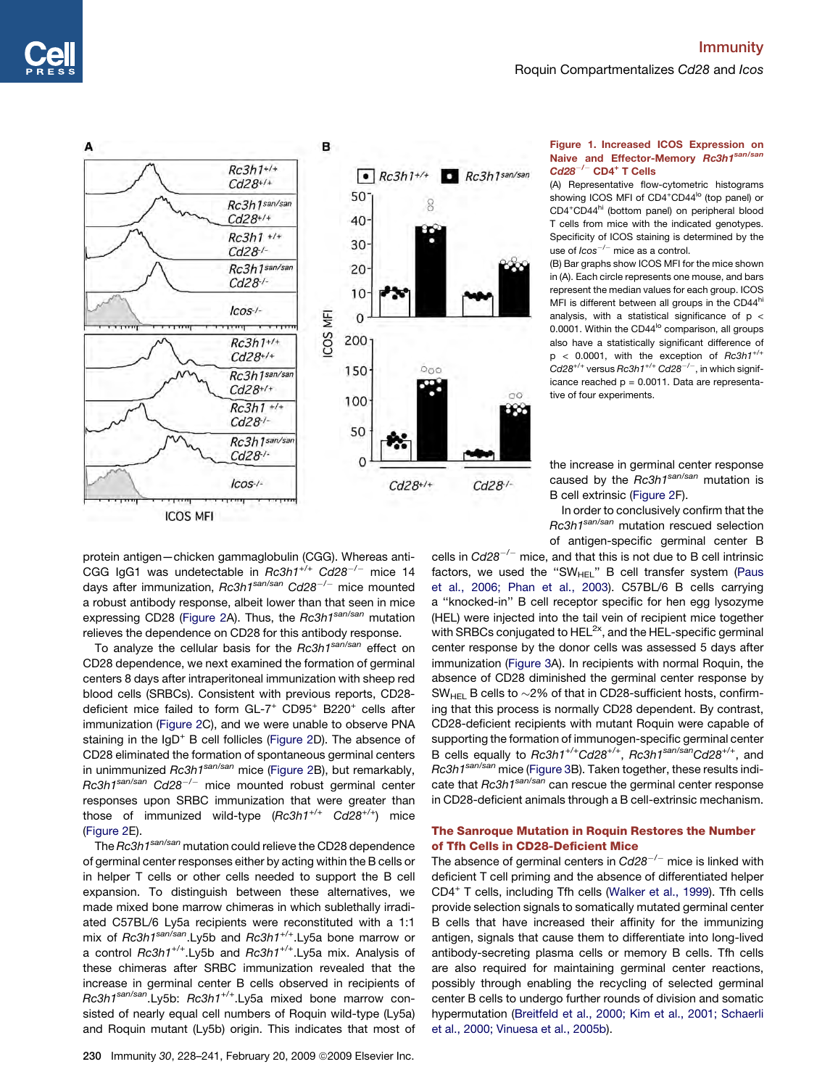<span id="page-2-0"></span>

### Figure 1. Increased ICOS Expression on Naive and Effector-Memory Rc3h1san/san  $Cd28^{-/-}$  CD4<sup>+</sup> T Cells

(A) Representative flow-cytometric histograms showing ICOS MFI of CD4<sup>+</sup>CD44<sup>lo</sup> (top panel) or CD4<sup>+</sup>CD44<sup>hi</sup> (bottom panel) on peripheral blood T cells from mice with the indicated genotypes. Specificity of ICOS staining is determined by the use of *Icos*-*/*- mice as a control.

(B) Bar graphs show ICOS MFI for the mice shown in (A). Each circle represents one mouse, and bars represent the median values for each group. ICOS MFI is different between all groups in the CD44hi analysis, with a statistical significance of  $p <$ 0.0001. Within the CD44<sup>lo</sup> comparison, all groups also have a statistically significant difference of p < 0.0001, with the exception of *Rc3h1+/+ Cd28+/+* versus *Rc3h1+/+ Cd28*-*/*-, in which significance reached  $p = 0.0011$ . Data are representative of four experiments.

the increase in germinal center response caused by the *Rc3h1san/san* mutation is B cell extrinsic ([Figure 2](#page-3-0)F).

In order to conclusively confirm that the *Rc3h1san/san* mutation rescued selection of antigen-specific germinal center B

protein antigen—chicken gammaglobulin (CGG). Whereas anti-CGG IgG1 was undetectable in *Rc3h1+/+ Cd28*-*/*- mice 14 days after immunization, *Rc3h1san/san Cd28*-*/*- mice mounted a robust antibody response, albeit lower than that seen in mice expressing CD28 [\(Figure 2](#page-3-0)A). Thus, the *Rc3h1san/san* mutation relieves the dependence on CD28 for this antibody response.

To analyze the cellular basis for the *Rc3h1san/san* effect on CD28 dependence, we next examined the formation of germinal centers 8 days after intraperitoneal immunization with sheep red blood cells (SRBCs). Consistent with previous reports, CD28 deficient mice failed to form GL-7<sup>+</sup> CD95<sup>+</sup> B220<sup>+</sup> cells after immunization ([Figure 2C](#page-3-0)), and we were unable to observe PNA staining in the IgD<sup>+</sup> B cell follicles [\(Figure 2D](#page-3-0)). The absence of CD28 eliminated the formation of spontaneous germinal centers in unimmunized *Rc3h1san/san* mice ([Figure 2B](#page-3-0)), but remarkably, *Rc3h1san/san Cd28*-*/*- mice mounted robust germinal center responses upon SRBC immunization that were greater than those of immunized wild-type (*Rc3h1+/+ Cd28+/+*) mice ([Figure 2E](#page-3-0)).

The *Rc3h1san/san* mutation could relieve the CD28 dependence of germinal center responses either by acting within the B cells or in helper T cells or other cells needed to support the B cell expansion. To distinguish between these alternatives, we made mixed bone marrow chimeras in which sublethally irradiated C57BL/6 Ly5a recipients were reconstituted with a 1:1 mix of *Rc3h1san/san*.Ly5b and *Rc3h1+/+*.Ly5a bone marrow or a control *Rc3h1+/+*.Ly5b and *Rc3h1+/+*.Ly5a mix. Analysis of these chimeras after SRBC immunization revealed that the increase in germinal center B cells observed in recipients of *Rc3h1san/san*.Ly5b: *Rc3h1+/+*.Ly5a mixed bone marrow consisted of nearly equal cell numbers of Roquin wild-type (Ly5a) and Roquin mutant (Ly5b) origin. This indicates that most of

cells in *Cd28*-*/*- mice, and that this is not due to B cell intrinsic factors, we used the "SW $_{\rm HEL}$ " B cell transfer system ([Paus](#page-12-0) [et al., 2006; Phan et al., 2003\)](#page-12-0). C57BL/6 B cells carrying a ''knocked-in'' B cell receptor specific for hen egg lysozyme (HEL) were injected into the tail vein of recipient mice together with SRBCs conjugated to  $HEL^{2x}$ , and the HEL-specific germinal center response by the donor cells was assessed 5 days after immunization ([Figure 3A](#page-4-0)). In recipients with normal Roquin, the absence of CD28 diminished the germinal center response by  $SW_{HEL}$  B cells to  $\sim$ 2% of that in CD28-sufficient hosts, confirming that this process is normally CD28 dependent. By contrast, CD28-deficient recipients with mutant Roquin were capable of supporting the formation of immunogen-specific germinal center B cells equally to *Rc3h1+/+Cd28+/+*, *Rc3h1san/sanCd28+/+*, and *Rc3h1san/san* mice [\(Figure 3](#page-4-0)B). Taken together, these results indicate that *Rc3h1san/san* can rescue the germinal center response in CD28-deficient animals through a B cell-extrinsic mechanism.

### The Sanroque Mutation in Roquin Restores the Number of Tfh Cells in CD28-Deficient Mice

The absence of germinal centers in *Cd28*-*/*- mice is linked with deficient T cell priming and the absence of differentiated helper CD4+ T cells, including Tfh cells ([Walker et al., 1999](#page-13-0)). Tfh cells provide selection signals to somatically mutated germinal center B cells that have increased their affinity for the immunizing antigen, signals that cause them to differentiate into long-lived antibody-secreting plasma cells or memory B cells. Tfh cells are also required for maintaining germinal center reactions, possibly through enabling the recycling of selected germinal center B cells to undergo further rounds of division and somatic hypermutation [\(Breitfeld et al., 2000; Kim et al., 2001; Schaerli](#page-11-0) [et al., 2000; Vinuesa et al., 2005b\)](#page-11-0).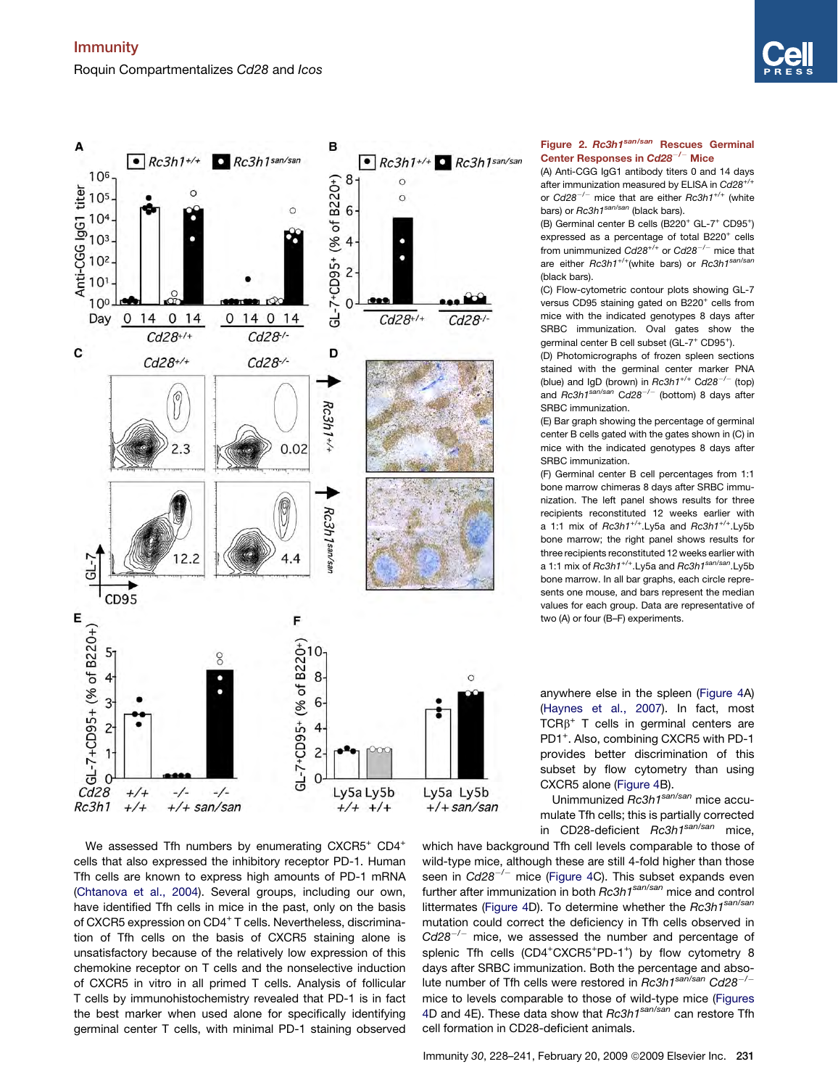

<span id="page-3-0"></span>

We assessed Tfh numbers by enumerating CXCR5<sup>+</sup> CD4<sup>+</sup> cells that also expressed the inhibitory receptor PD-1. Human Tfh cells are known to express high amounts of PD-1 mRNA [\(Chtanova et al., 2004\)](#page-11-0). Several groups, including our own, have identified Tfh cells in mice in the past, only on the basis of CXCR5 expression on CD4<sup>+</sup> T cells. Nevertheless, discrimination of Tfh cells on the basis of CXCR5 staining alone is unsatisfactory because of the relatively low expression of this chemokine receptor on T cells and the nonselective induction of CXCR5 in vitro in all primed T cells. Analysis of follicular T cells by immunohistochemistry revealed that PD-1 is in fact the best marker when used alone for specifically identifying germinal center T cells, with minimal PD-1 staining observed

### Figure 2. Rc3h1san/san Rescues Germinal Center Responses in  $\mathbf C d 28^{-/-}$  Mice

(A) Anti-CGG IgG1 antibody titers 0 and 14 days after immunization measured by ELISA in *Cd28+/+* or *Cd28*-*/*- mice that are either *Rc3h1+/+* (white bars) or *Rc3h1san/san* (black bars).

(B) Germinal center B cells  $(B220^+$  GL-7<sup>+</sup> CD95<sup>+</sup>) expressed as a percentage of total B220<sup>+</sup> cells from unimmunized *Cd28+/+* or *Cd28*-*/*- mice that are either *Rc3h1+/+*(white bars) or *Rc3h1san/san* (black bars).

(C) Flow-cytometric contour plots showing GL-7 versus CD95 staining gated on B220<sup>+</sup> cells from mice with the indicated genotypes 8 days after SRBC immunization. Oval gates show the germinal center B cell subset (GL-7<sup>+</sup> CD95<sup>+</sup>).

(D) Photomicrographs of frozen spleen sections stained with the germinal center marker PNA (blue) and IgD (brown) in *Rc3h1+/+* C*d28*-*/*- (top) and *Rc3h1san/san* C*d28*-*/*- (bottom) 8 days after SRBC immunization.

(E) Bar graph showing the percentage of germinal center B cells gated with the gates shown in (C) in mice with the indicated genotypes 8 days after SRBC immunization.

(F) Germinal center B cell percentages from 1:1 bone marrow chimeras 8 days after SRBC immunization. The left panel shows results for three recipients reconstituted 12 weeks earlier with a 1:1 mix of *Rc3h1+/+*.Ly5a and *Rc3h1*+/+.Ly5b bone marrow; the right panel shows results for three recipients reconstituted 12 weeks earlier with a 1:1 mix of *Rc3h1+/+*.Ly5a and *Rc3h1san/san*.Ly5b bone marrow. In all bar graphs, each circle represents one mouse, and bars represent the median values for each group. Data are representative of two (A) or four (B–F) experiments.

anywhere else in the spleen ([Figure 4A](#page-5-0)) [\(Haynes et al., 2007](#page-12-0)). In fact, most  $TCR\beta^+$  T cells in germinal centers are PD1<sup>+</sup>. Also, combining CXCR5 with PD-1 provides better discrimination of this subset by flow cytometry than using CXCR5 alone [\(Figure 4](#page-5-0)B).

Unimmunized *Rc3h1san/san* mice accumulate Tfh cells; this is partially corrected in CD28-deficient *Rc3h1san/san* mice,

which have background Tfh cell levels comparable to those of wild-type mice, although these are still 4-fold higher than those seen in *Cd28*-*/*- mice [\(Figure 4](#page-5-0)C). This subset expands even further after immunization in both *Rc3h1san/san* mice and control littermates [\(Figure 4D](#page-5-0)). To determine whether the *Rc3h1san/san* mutation could correct the deficiency in Tfh cells observed in *Cd28*-*/*- mice, we assessed the number and percentage of splenic Tfh cells (CD4<sup>+</sup>CXCR5<sup>+</sup>PD-1<sup>+</sup>) by flow cytometry 8 days after SRBC immunization. Both the percentage and absolute number of Tfh cells were restored in *Rc3h1san/san Cd28*-*/* mice to levels comparable to those of wild-type mice [\(Figures](#page-5-0) [4D](#page-5-0) and 4E). These data show that *Rc3h1san/san* can restore Tfh cell formation in CD28-deficient animals.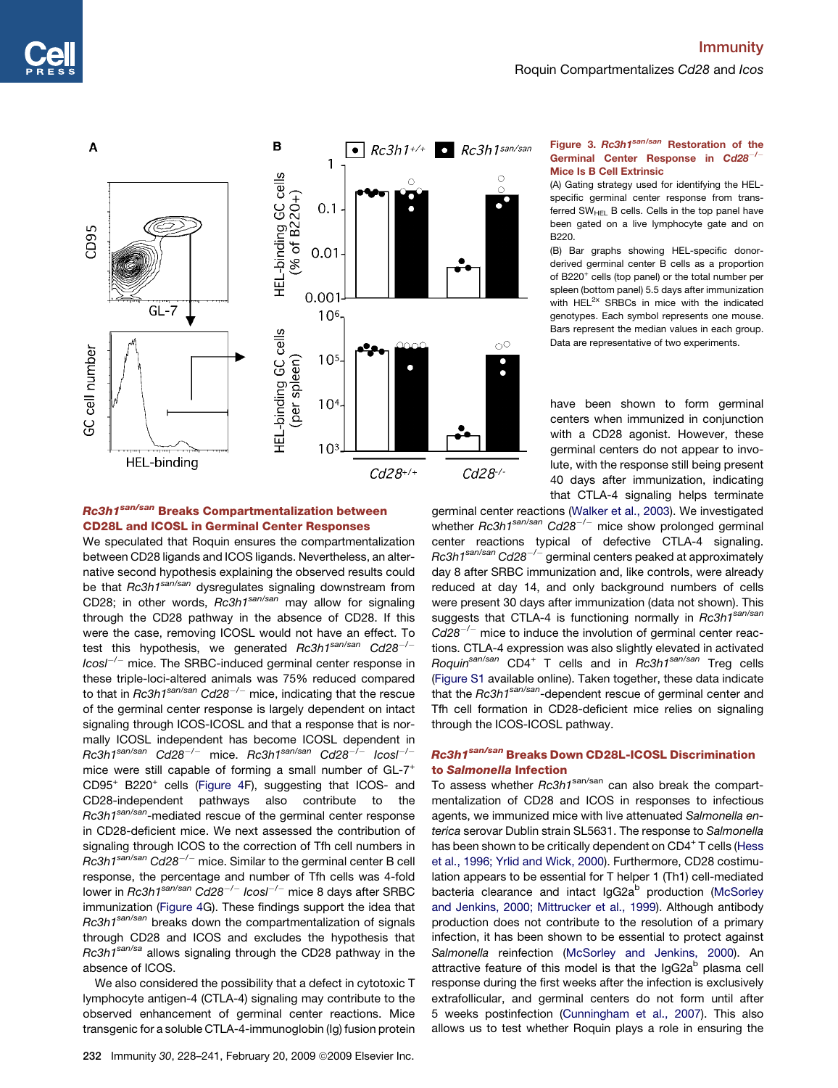<span id="page-4-0"></span>

### Rc3h1<sup>san/san</sup> Breaks Compartmentalization between CD28L and ICOSL in Germinal Center Responses

We speculated that Roquin ensures the compartmentalization between CD28 ligands and ICOS ligands. Nevertheless, an alternative second hypothesis explaining the observed results could be that *Rc3h1san/san* dysregulates signaling downstream from CD28; in other words, *Rc3h1san/san* may allow for signaling through the CD28 pathway in the absence of CD28. If this were the case, removing ICOSL would not have an effect. To test this hypothesis, we generated *Rc3h1san/san Cd28*-*/*- *Icosl*-*/*- mice. The SRBC-induced germinal center response in these triple-loci-altered animals was 75% reduced compared to that in *Rc3h1san/san Cd28*-*/*- mice, indicating that the rescue of the germinal center response is largely dependent on intact signaling through ICOS-ICOSL and that a response that is normally ICOSL independent has become ICOSL dependent in *Rc3h1san/san Cd28*-*/*- mice. *Rc3h1san/san Cd28*-*/*- *Icosl*-*/* mice were still capable of forming a small number of GL-7<sup>+</sup> CD95<sup>+</sup> B220<sup>+</sup> cells ([Figure 4](#page-5-0)F), suggesting that ICOS- and CD28-independent pathways also contribute to the *Rc3h1san/san*-mediated rescue of the germinal center response in CD28-deficient mice. We next assessed the contribution of signaling through ICOS to the correction of Tfh cell numbers in *Rc3h1san/san Cd28*-*/*- mice. Similar to the germinal center B cell response, the percentage and number of Tfh cells was 4-fold lower in *Rc3h1san/san Cd28*-*/*- *Icosl*-*/*- mice 8 days after SRBC immunization [\(Figure 4](#page-5-0)G). These findings support the idea that *Rc3h1san/san* breaks down the compartmentalization of signals through CD28 and ICOS and excludes the hypothesis that *Rc3h1san/sa* allows signaling through the CD28 pathway in the absence of ICOS.

We also considered the possibility that a defect in cytotoxic T lymphocyte antigen-4 (CTLA-4) signaling may contribute to the observed enhancement of germinal center reactions. Mice transgenic for a soluble CTLA-4-immunoglobin (Ig) fusion protein

### Figure 3. Rc3h1san/san Restoration of the Germinal Center Response in Cd28<sup>-/-</sup> Mice Is B Cell Extrinsic

(A) Gating strategy used for identifying the HELspecific germinal center response from transferred  $SW_{HF}$  B cells. Cells in the top panel have been gated on a live lymphocyte gate and on B220.

(B) Bar graphs showing HEL-specific donorderived germinal center B cells as a proportion of B220<sup>+</sup> cells (top panel) or the total number per spleen (bottom panel) 5.5 days after immunization with HEL<sup>2x</sup> SRBCs in mice with the indicated genotypes. Each symbol represents one mouse. Bars represent the median values in each group. Data are representative of two experiments.

have been shown to form germinal centers when immunized in conjunction with a CD28 agonist. However, these germinal centers do not appear to involute, with the response still being present 40 days after immunization, indicating that CTLA-4 signaling helps terminate

germinal center reactions ([Walker et al., 2003](#page-13-0)). We investigated whether *Rc3h1san/san Cd28*-*/*- mice show prolonged germinal center reactions typical of defective CTLA-4 signaling. *Rc3h1san/san Cd28*-*/*- germinal centers peaked at approximately day 8 after SRBC immunization and, like controls, were already reduced at day 14, and only background numbers of cells were present 30 days after immunization (data not shown). This suggests that CTLA-4 is functioning normally in *Rc3h1san/san Cd28*-*/*- mice to induce the involution of germinal center reactions. CTLA-4 expression was also slightly elevated in activated *Roquinsan/san* CD4<sup>+</sup> T cells and in *Rc3h1san/san* Treg cells [\(Figure S1](#page-11-0) available online). Taken together, these data indicate that the *Rc3h1san/san*-dependent rescue of germinal center and Tfh cell formation in CD28-deficient mice relies on signaling through the ICOS-ICOSL pathway.

### Rc3h1san/san Breaks Down CD28L-ICOSL Discrimination to Salmonella Infection

To assess whether *Rc3h1*san/san can also break the compartmentalization of CD28 and ICOS in responses to infectious agents, we immunized mice with live attenuated *Salmonella enterica* serovar Dublin strain SL5631. The response to *Salmonella* has been shown to be critically dependent on CD4<sup>+</sup> T cells ([Hess](#page-12-0) [et al., 1996; Yrlid and Wick, 2000\)](#page-12-0). Furthermore, CD28 costimulation appears to be essential for T helper 1 (Th1) cell-mediated bacteria clearance and intact IgG2a<sup>b</sup> production [\(McSorley](#page-12-0) [and Jenkins, 2000; Mittrucker et al., 1999](#page-12-0)). Although antibody production does not contribute to the resolution of a primary infection, it has been shown to be essential to protect against *Salmonella* reinfection ([McSorley and Jenkins, 2000](#page-12-0)). An attractive feature of this model is that the IgG2a<sup>b</sup> plasma cell response during the first weeks after the infection is exclusively extrafollicular, and germinal centers do not form until after 5 weeks postinfection [\(Cunningham et al., 2007\)](#page-11-0). This also allows us to test whether Roquin plays a role in ensuring the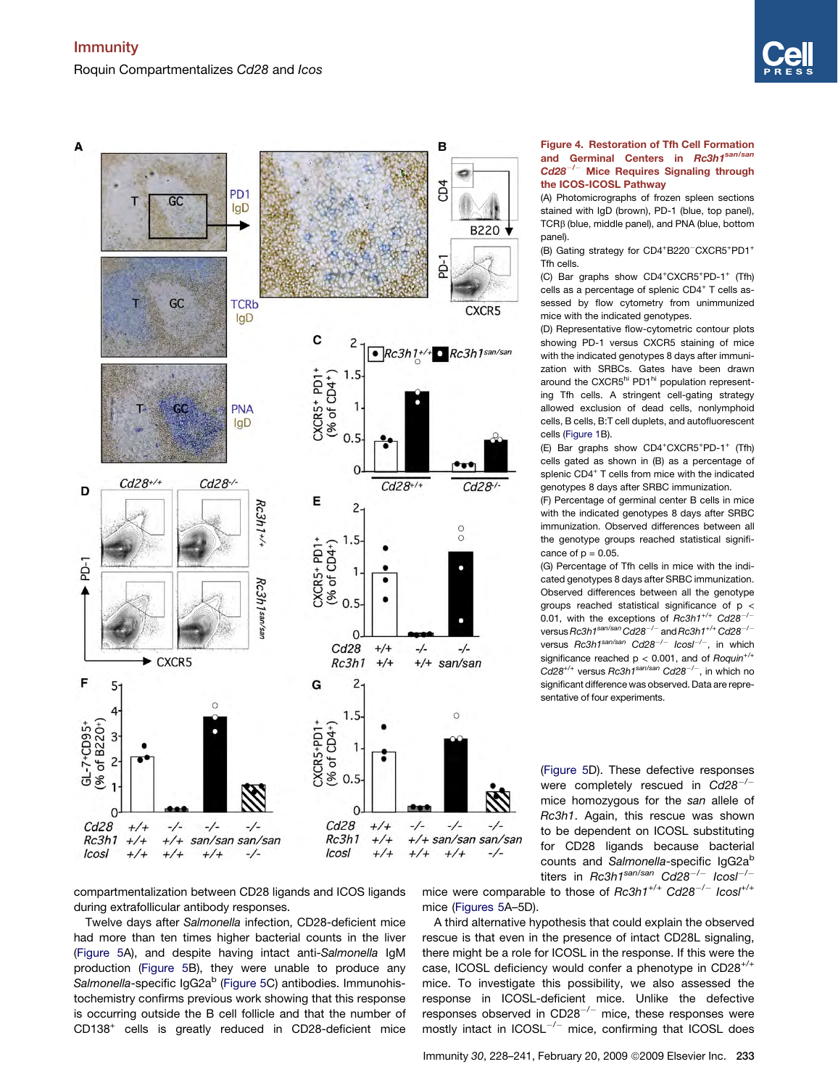

<span id="page-5-0"></span>

Figure 4. Restoration of Tfh Cell Formation and Germinal Centers in Rc3h1san/san  $Cd28^{-/-}$  Mice Requires Signaling through the ICOS-ICOSL Pathway

(A) Photomicrographs of frozen spleen sections stained with IgD (brown), PD-1 (blue, top panel),  $TCR\beta$  (blue, middle panel), and PNA (blue, bottom panel).

(B) Gating strategy for CD4+B220<sup>-</sup>CXCR5+PD1+ Tfh cells.

(C) Bar graphs show CD4<sup>+</sup>CXCR5<sup>+</sup>PD-1<sup>+</sup> (Tfh) cells as a percentage of splenic CD4<sup>+</sup> T cells assessed by flow cytometry from unimmunized mice with the indicated genotypes.

(D) Representative flow-cytometric contour plots showing PD-1 versus CXCR5 staining of mice with the indicated genotypes 8 days after immunization with SRBCs. Gates have been drawn around the CXCR5<sup>hi</sup> PD1<sup>hi</sup> population representing Tfh cells. A stringent cell-gating strategy allowed exclusion of dead cells, nonlymphoid cells, B cells, B:T cell duplets, and autofluorescent cells [\(Figure 1B](#page-2-0)).

(E) Bar graphs show CD4<sup>+</sup>CXCR5<sup>+</sup>PD-1<sup>+</sup> (Tfh) cells gated as shown in (B) as a percentage of splenic CD4<sup>+</sup> T cells from mice with the indicated genotypes 8 days after SRBC immunization.

(F) Percentage of germinal center B cells in mice with the indicated genotypes 8 days after SRBC immunization. Observed differences between all the genotype groups reached statistical significance of  $p = 0.05$ .

(G) Percentage of Tfh cells in mice with the indicated genotypes 8 days after SRBC immunization. Observed differences between all the genotype groups reached statistical significance of p < 0.01, with the exceptions of *Rc3h1+/+ Cd28*-*/* versus*Rc3h1san/sanCd28*-*/*- and*Rc3h1+/+Cd28*-*/* versus *Rc3h1san/san Cd28*-*/*- *Icosl*-*/*-, in which significance reached p < 0.001, and of *Roquin+/+ Cd28+/+* versus *Rc3h1san/san Cd28*-*/*-, in which no significant difference was observed. Data are representative of four experiments.

([Figure 5D](#page-6-0)). These defective responses were completely rescued in *Cd28*-*/* mice homozygous for the *san* allele of *Rc3h1*. Again, this rescue was shown to be dependent on ICOSL substituting for CD28 ligands because bacterial counts and *Salmonella*-specific IgG2a<sup>b</sup> titers in *Rc3h1san/san Cd28*-*/*- *Icosl*-*/*-

compartmentalization between CD28 ligands and ICOS ligands during extrafollicular antibody responses.

Twelve days after *Salmonella* infection, CD28-deficient mice had more than ten times higher bacterial counts in the liver [\(Figure 5](#page-6-0)A), and despite having intact anti-*Salmonella* IgM production ([Figure 5B](#page-6-0)), they were unable to produce any Salmonella-specific IgG2a<sup>b</sup> ([Figure 5C](#page-6-0)) antibodies. Immunohistochemistry confirms previous work showing that this response is occurring outside the B cell follicle and that the number of CD138+ cells is greatly reduced in CD28-deficient mice

mice were comparable to those of *Rc3h1+/+ Cd28*-*/*- *Icosl+/+* mice ([Figures 5](#page-6-0)A–5D).

A third alternative hypothesis that could explain the observed rescue is that even in the presence of intact CD28L signaling, there might be a role for ICOSL in the response. If this were the case, ICOSL deficiency would confer a phenotype in CD28+/+ mice. To investigate this possibility, we also assessed the response in ICOSL-deficient mice. Unlike the defective responses observed in CD28 $^{-/-}$  mice, these responses were mostly intact in ICOSL<sup>-/-</sup> mice, confirming that ICOSL does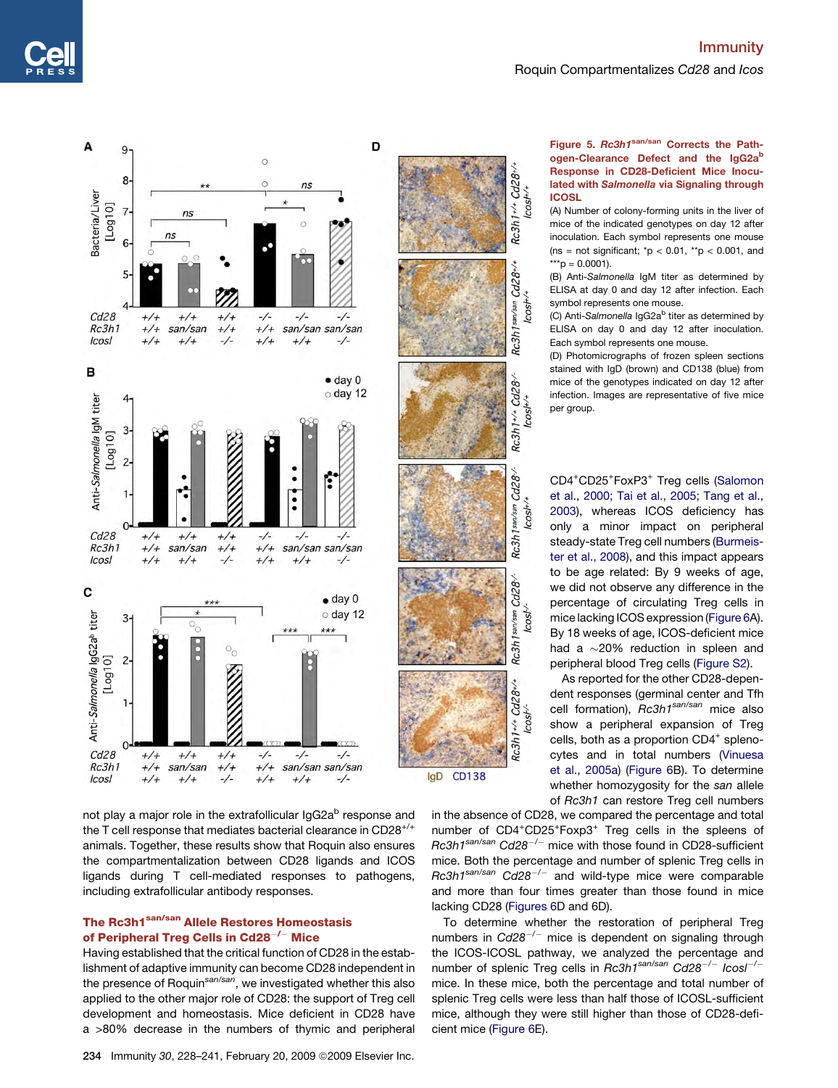<span id="page-6-0"></span>

not play a major role in the extrafollicular IgG2a<sup>b</sup> response and the T cell response that mediates bacterial clearance in CD28+/+ animals. Together, these results show that Roquin also ensures the compartmentalization between CD28 ligands and ICOS ligands during T cell-mediated responses to pathogens, including extrafollicular antibody responses.

### The Rc3h1<sup>san/san</sup> Allele Restores Homeostasis of Peripheral Treg Cells in Cd28 $^{-/-}$  Mice

Having established that the critical function of CD28 in the establishment of adaptive immunity can become CD28 independent in the presence of Roquin*san/san*, we investigated whether this also applied to the other major role of CD28: the support of Treg cell development and homeostasis. Mice deficient in CD28 have a >80% decrease in the numbers of thymic and peripheral



in the absence of CD28, we compared the percentage and total number of CD4+CD25+Foxp3+ Treg cells in the spleens of *Rc3h1san/san Cd28*-*/*- mice with those found in CD28-sufficient mice. Both the percentage and number of splenic Treg cells in *Rc3h1san/san Cd28*-*/*- and wild-type mice were comparable and more than four times greater than those found in mice lacking CD28 [\(Figures 6D](#page-7-0) and 6D).

To determine whether the restoration of peripheral Treg numbers in *Cd28*-*/*- mice is dependent on signaling through the ICOS-ICOSL pathway, we analyzed the percentage and number of splenic Treg cells in *Rc3h1san/san Cd28*-*/*- *Icosl*-*/* mice. In these mice, both the percentage and total number of splenic Treg cells were less than half those of ICOSL-sufficient mice, although they were still higher than those of CD28-deficient mice [\(Figure 6](#page-7-0)E).

### Figure 5. Rc3h1san/san Corrects the Pathogen-Clearance Defect and the IgG2ab Response in CD28-Deficient Mice Inoculated with Salmonella via Signaling through **ICOSL**

(A) Number of colony-forming units in the liver of mice of the indicated genotypes on day 12 after inoculation. Each symbol represents one mouse (ns = not significant;  $^{\star}p$  < 0.01,  $^{\star\star}p$  < 0.001, and \*\*\*p = 0.0001).

(B) Anti-*Salmonella* IgM titer as determined by ELISA at day 0 and day 12 after infection. Each symbol represents one mouse.

(C) Anti-Salmonella IgG2a<sup>b</sup> titer as determined by ELISA on day 0 and day 12 after inoculation. Each symbol represents one mouse.

(D) Photomicrographs of frozen spleen sections stained with IgD (brown) and CD138 (blue) from mice of the genotypes indicated on day 12 after infection. Images are representative of five mice per group.

CD4+ CD25<sup>+</sup> FoxP3<sup>+</sup> Treg cells [\(Salomon](#page-12-0) [et al., 2000; Tai et al., 2005; Tang et al.,](#page-12-0) [2003\)](#page-12-0), whereas ICOS deficiency has only a minor impact on peripheral steady-state Treg cell numbers [\(Burmeis](#page-11-0)[ter et al., 2008\)](#page-11-0), and this impact appears to be age related: By 9 weeks of age, we did not observe any difference in the percentage of circulating Treg cells in mice lacking ICOS expression [\(Figure 6A](#page-7-0)). By 18 weeks of age, ICOS-deficient mice had a  $\sim$ 20% reduction in spleen and peripheral blood Treg cells ([Figure S2\)](#page-11-0).

As reported for the other CD28-dependent responses (germinal center and Tfh cell formation), *Rc3h1san/san* mice also show a peripheral expansion of Treg cells, both as a proportion CD4<sup>+</sup> splenocytes and in total numbers [\(Vinuesa](#page-12-0) [et al., 2005a\)](#page-12-0) ([Figure 6B](#page-7-0)). To determine whether homozygosity for the *san* allele of *Rc3h1* can restore Treg cell numbers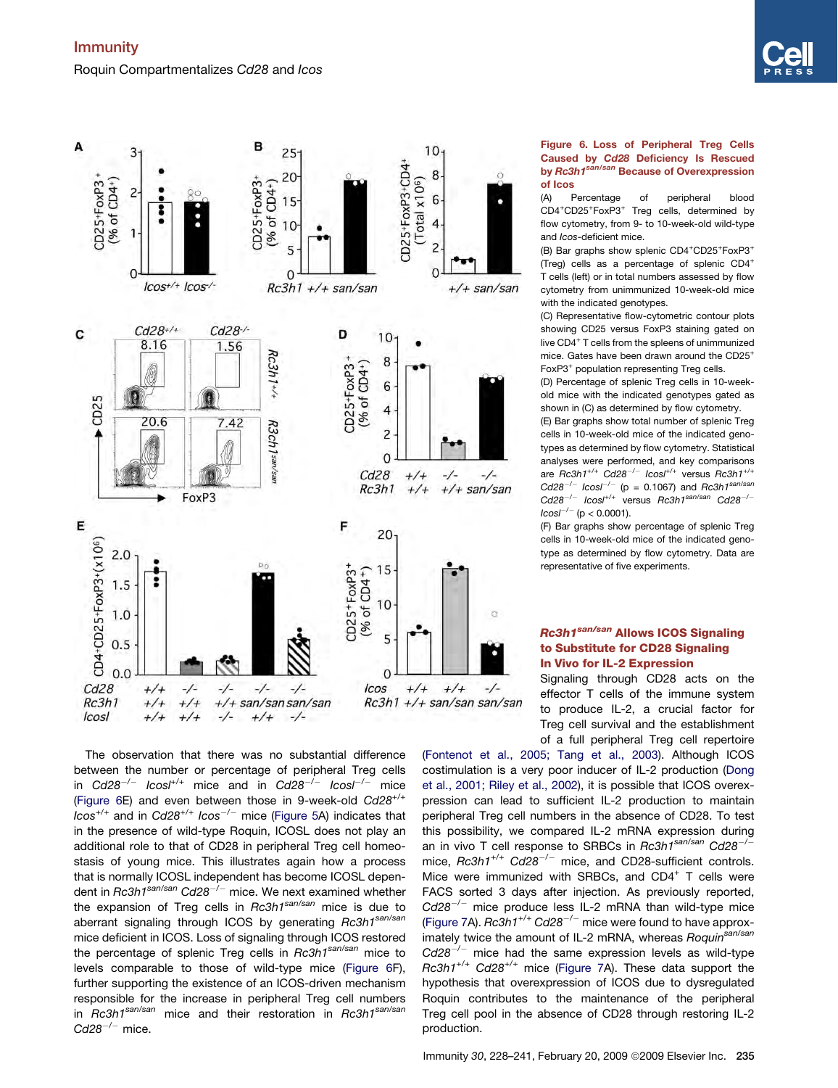<span id="page-7-0"></span>Immunity Roquin Compartmentalizes *Cd28* and *Icos*





Figure 6. Loss of Peripheral Treg Cells Caused by Cd28 Deficiency Is Rescued by Rc3h1<sup>san/san</sup> Because of Overexpression of Icos

(A) Percentage of peripheral blood CD4<sup>+</sup>CD25<sup>+</sup>FoxP3<sup>+</sup> Treg cells, determined by flow cytometry, from 9- to 10-week-old wild-type and *Icos*-deficient mice.

(B) Bar graphs show splenic CD4+CD25+FoxP3+ (Treg) cells as a percentage of splenic CD4<sup>+</sup> T cells (left) or in total numbers assessed by flow cytometry from unimmunized 10-week-old mice with the indicated genotypes.

(C) Representative flow-cytometric contour plots showing CD25 versus FoxP3 staining gated on live CD4<sup>+</sup> T cells from the spleens of unimmunized mice. Gates have been drawn around the CD25<sup>+</sup> FoxP3<sup>+</sup> population representing Treg cells.

(D) Percentage of splenic Treg cells in 10-weekold mice with the indicated genotypes gated as shown in (C) as determined by flow cytometry.

(E) Bar graphs show total number of splenic Treg cells in 10-week-old mice of the indicated genotypes as determined by flow cytometry. Statistical analyses were performed, and key comparisons are *Rc3h1+/+ Cd28*-*/*- *Icosl+/+* versus *Rc3h1+/+ Cd28*-*/*- *Icosl*-*/*- (p = 0.1067) and *Rc3h1san/san Cd28*-*/*- *Icosl+/+* versus *Rc3h1san/san Cd28*-*/*- *Icosl*-*/*- (p < 0.0001).

(F) Bar graphs show percentage of splenic Treg cells in 10-week-old mice of the indicated genotype as determined by flow cytometry. Data are representative of five experiments.

### Rc3h1<sup>san/san</sup> Allows ICOS Signaling to Substitute for CD28 Signaling In Vivo for IL-2 Expression

Signaling through CD28 acts on the effector T cells of the immune system to produce IL-2, a crucial factor for Treg cell survival and the establishment of a full peripheral Treg cell repertoire

The observation that there was no substantial difference between the number or percentage of peripheral Treg cells in Cd28<sup>-/-</sup> lcosl<sup>+/+</sup> mice and in Cd28<sup>-/-</sup> lcosl<sup>-/-</sup> mice (Figure 6E) and even between those in 9-week-old *Cd28+/+ Icos+/+* and in *Cd28+/+ Icos*-*/*- mice ([Figure 5](#page-6-0)A) indicates that in the presence of wild-type Roquin, ICOSL does not play an additional role to that of CD28 in peripheral Treg cell homeostasis of young mice. This illustrates again how a process that is normally ICOSL independent has become ICOSL dependent in *Rc3h1san/san Cd28*-*/*- mice. We next examined whether the expansion of Treg cells in *Rc3h1san/san* mice is due to aberrant signaling through ICOS by generating *Rc3h1san/san* mice deficient in ICOS. Loss of signaling through ICOS restored the percentage of splenic Treg cells in *Rc3h1san/san* mice to levels comparable to those of wild-type mice (Figure 6F), further supporting the existence of an ICOS-driven mechanism responsible for the increase in peripheral Treg cell numbers in *Rc3h1san/san* mice and their restoration in *Rc3h1san/san Cd28*-*/*- mice.

[\(Fontenot et al., 2005; Tang et al., 2003\)](#page-12-0). Although ICOS costimulation is a very poor inducer of IL-2 production ([Dong](#page-11-0) [et al., 2001; Riley et al., 2002](#page-11-0)), it is possible that ICOS overexpression can lead to sufficient IL-2 production to maintain peripheral Treg cell numbers in the absence of CD28. To test this possibility, we compared IL-2 mRNA expression during an in vivo T cell response to SRBCs in *Rc3h1san/san Cd28*-*/* mice,  $Rc3h1^{+/+}$  Cd28<sup>-/-</sup> mice, and CD28-sufficient controls. Mice were immunized with SRBCs, and CD4<sup>+</sup> T cells were FACS sorted 3 days after injection. As previously reported, *Cd28*-*/*- mice produce less IL-2 mRNA than wild-type mice [\(Figure 7A](#page-8-0)). *Rc3h1+/+ Cd28*-*/*- mice were found to have approximately twice the amount of IL-2 mRNA, whereas *Roquinsan/san Cd28*-*/*- mice had the same expression levels as wild-type *Rc3h1+/+ Cd28+/+* mice [\(Figure 7A](#page-8-0)). These data support the hypothesis that overexpression of ICOS due to dysregulated Roquin contributes to the maintenance of the peripheral Treg cell pool in the absence of CD28 through restoring IL-2 production.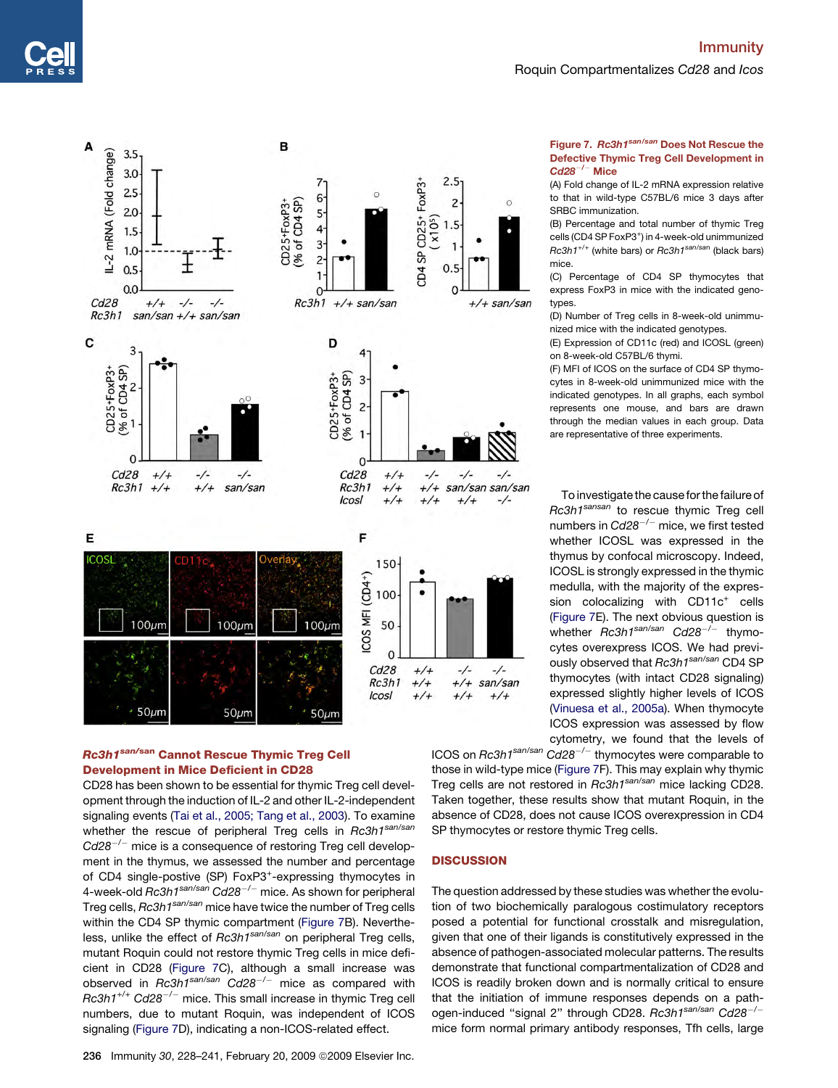# Immunity Roquin Compartmentalizes *Cd28* and *Icos*

<span id="page-8-0"></span>

## Rc3h1san/san Cannot Rescue Thymic Treg Cell Development in Mice Deficient in CD28

CD28 has been shown to be essential for thymic Treg cell development through the induction of IL-2 and other IL-2-independent signaling events ([Tai et al., 2005; Tang et al., 2003](#page-12-0)). To examine whether the rescue of peripheral Treg cells in *Rc3h1san/san Cd28*-*/*- mice is a consequence of restoring Treg cell development in the thymus, we assessed the number and percentage of CD4 single-postive (SP) FoxP3<sup>+</sup>-expressing thymocytes in 4-week-old *Rc3h1san/san Cd28*-*/*- mice. As shown for peripheral Treg cells, *Rc3h1san/san* mice have twice the number of Treg cells within the CD4 SP thymic compartment (Figure 7B). Nevertheless, unlike the effect of *Rc3h1san/san* on peripheral Treg cells, mutant Roquin could not restore thymic Treg cells in mice deficient in CD28 (Figure 7C), although a small increase was observed in *Rc3h1san/san Cd28*-*/*- mice as compared with *Rc3h1+/+ Cd28*-*/*- mice. This small increase in thymic Treg cell numbers, due to mutant Roquin, was independent of ICOS signaling (Figure 7D), indicating a non-ICOS-related effect.

### Figure 7. Rc3h1san/san Does Not Rescue the Defective Thymic Treg Cell Development in  $\mathsf{C}$ d $\mathsf{28}^{-/-}$  Mice

(A) Fold change of IL-2 mRNA expression relative to that in wild-type C57BL/6 mice 3 days after SRBC immunization.

(B) Percentage and total number of thymic Treg cells (CD4 SP FoxP3<sup>+</sup>) in 4-week-old unimmunized *Rc3h1+/*<sup>+</sup> (white bars) or *Rc3h1san/sa*<sup>n</sup> (black bars) mice.

(C) Percentage of CD4 SP thymocytes that express FoxP3 in mice with the indicated genotypes.

(D) Number of Treg cells in 8-week-old unimmunized mice with the indicated genotypes.

(E) Expression of CD11c (red) and ICOSL (green) on 8-week-old C57BL/6 thymi.

(F) MFI of ICOS on the surface of CD4 SP thymocytes in 8-week-old unimmunized mice with the indicated genotypes. In all graphs, each symbol represents one mouse, and bars are drawn through the median values in each group. Data are representative of three experiments.

To investigate the cause for the failure of *Rc3h1sansan* to rescue thymic Treg cell numbers in *Cd28*-*/*- mice, we first tested whether ICOSL was expressed in the thymus by confocal microscopy. Indeed, ICOSL is strongly expressed in the thymic medulla, with the majority of the expression colocalizing with CD11c<sup>+</sup> cells (Figure 7E). The next obvious question is whether *Rc3h1san/san Cd28*-*/*- thymocytes overexpress ICOS. We had previously observed that *Rc3h1san/san* CD4 SP thymocytes (with intact CD28 signaling) expressed slightly higher levels of ICOS [\(Vinuesa et al., 2005a](#page-12-0)). When thymocyte ICOS expression was assessed by flow cytometry, we found that the levels of

ICOS on *Rc3h1san/san Cd28*-*/*- thymocytes were comparable to those in wild-type mice (Figure 7F). This may explain why thymic Treg cells are not restored in *Rc3h1san/san* mice lacking CD28. Taken together, these results show that mutant Roquin, in the absence of CD28, does not cause ICOS overexpression in CD4 SP thymocytes or restore thymic Treg cells.

### **DISCUSSION**

The question addressed by these studies was whether the evolution of two biochemically paralogous costimulatory receptors posed a potential for functional crosstalk and misregulation, given that one of their ligands is constitutively expressed in the absence of pathogen-associated molecular patterns. The results demonstrate that functional compartmentalization of CD28 and ICOS is readily broken down and is normally critical to ensure that the initiation of immune responses depends on a pathogen-induced ''signal 2'' through CD28. *Rc3h1san/san Cd28*-*/* mice form normal primary antibody responses, Tfh cells, large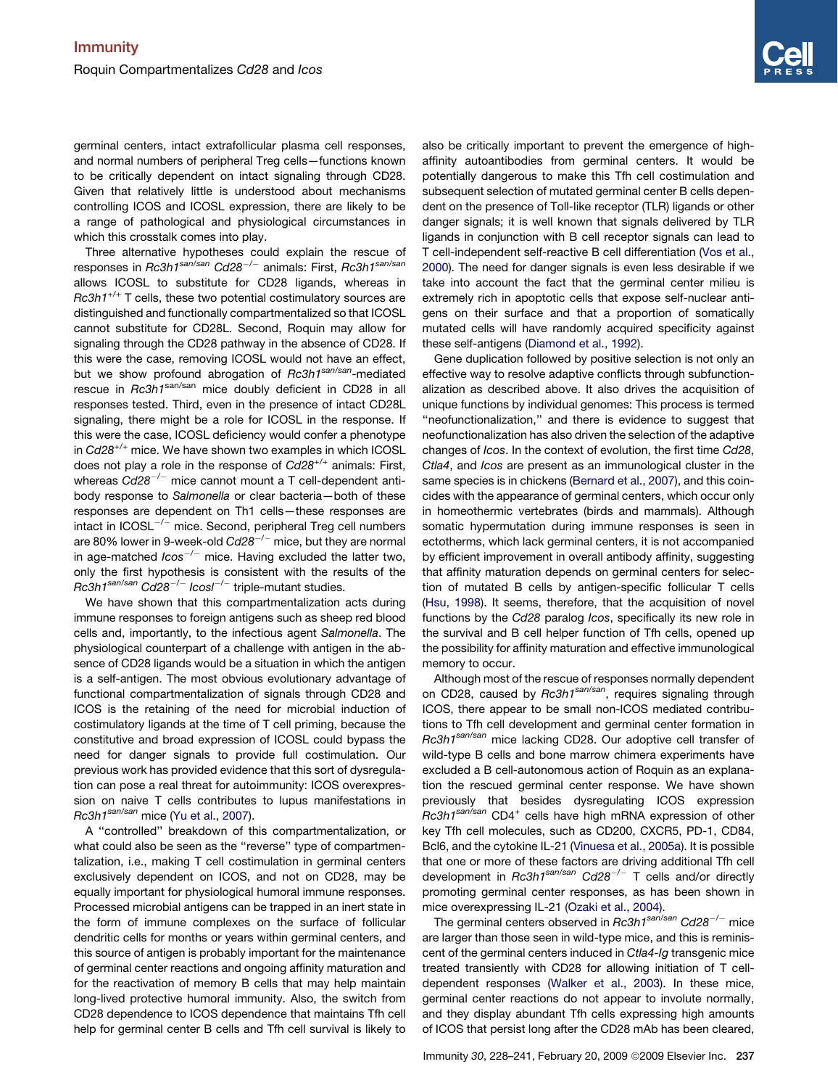germinal centers, intact extrafollicular plasma cell responses, and normal numbers of peripheral Treg cells—functions known to be critically dependent on intact signaling through CD28. Given that relatively little is understood about mechanisms controlling ICOS and ICOSL expression, there are likely to be a range of pathological and physiological circumstances in which this crosstalk comes into play.

Three alternative hypotheses could explain the rescue of responses in *Rc3h1san/san Cd28*-*/*- animals: First, *Rc3h1san/san* allows ICOSL to substitute for CD28 ligands, whereas in *Rc3h1+/+* T cells, these two potential costimulatory sources are distinguished and functionally compartmentalized so that ICOSL cannot substitute for CD28L. Second, Roquin may allow for signaling through the CD28 pathway in the absence of CD28. If this were the case, removing ICOSL would not have an effect, but we show profound abrogation of *Rc3h1san/san*-mediated rescue in *Rc3h1<sup>san/san</sup>* mice doubly deficient in CD28 in all responses tested. Third, even in the presence of intact CD28L signaling, there might be a role for ICOSL in the response. If this were the case, ICOSL deficiency would confer a phenotype in *Cd28*+/+ mice. We have shown two examples in which ICOSL does not play a role in the response of *Cd28*+/+ animals: First, whereas *Cd28*-*/*- mice cannot mount a T cell-dependent antibody response to *Salmonella* or clear bacteria—both of these responses are dependent on Th1 cells—these responses are intact in ICOSL $^{-/-}$  mice. Second, peripheral Treg cell numbers are 80% lower in 9-week-old *Cd28*-*/*- mice, but they are normal in age-matched *Icos*-*/*- mice. Having excluded the latter two, only the first hypothesis is consistent with the results of the *Rc3h1san/san Cd28*-*/*- *Icosl*-*/*- triple-mutant studies.

We have shown that this compartmentalization acts during immune responses to foreign antigens such as sheep red blood cells and, importantly, to the infectious agent *Salmonella*. The physiological counterpart of a challenge with antigen in the absence of CD28 ligands would be a situation in which the antigen is a self-antigen. The most obvious evolutionary advantage of functional compartmentalization of signals through CD28 and ICOS is the retaining of the need for microbial induction of costimulatory ligands at the time of T cell priming, because the constitutive and broad expression of ICOSL could bypass the need for danger signals to provide full costimulation. Our previous work has provided evidence that this sort of dysregulation can pose a real threat for autoimmunity: ICOS overexpression on naive T cells contributes to lupus manifestations in *Rc3h1san/san* mice ([Yu et al., 2007\)](#page-13-0).

A ''controlled'' breakdown of this compartmentalization, or what could also be seen as the "reverse" type of compartmentalization, i.e., making T cell costimulation in germinal centers exclusively dependent on ICOS, and not on CD28, may be equally important for physiological humoral immune responses. Processed microbial antigens can be trapped in an inert state in the form of immune complexes on the surface of follicular dendritic cells for months or years within germinal centers, and this source of antigen is probably important for the maintenance of germinal center reactions and ongoing affinity maturation and for the reactivation of memory B cells that may help maintain long-lived protective humoral immunity. Also, the switch from CD28 dependence to ICOS dependence that maintains Tfh cell help for germinal center B cells and Tfh cell survival is likely to also be critically important to prevent the emergence of highaffinity autoantibodies from germinal centers. It would be potentially dangerous to make this Tfh cell costimulation and subsequent selection of mutated germinal center B cells dependent on the presence of Toll-like receptor (TLR) ligands or other danger signals; it is well known that signals delivered by TLR ligands in conjunction with B cell receptor signals can lead to T cell-independent self-reactive B cell differentiation ([Vos et al.,](#page-13-0) [2000\)](#page-13-0). The need for danger signals is even less desirable if we take into account the fact that the germinal center milieu is extremely rich in apoptotic cells that expose self-nuclear antigens on their surface and that a proportion of somatically mutated cells will have randomly acquired specificity against these self-antigens [\(Diamond et al., 1992\)](#page-11-0).

Gene duplication followed by positive selection is not only an effective way to resolve adaptive conflicts through subfunctionalization as described above. It also drives the acquisition of unique functions by individual genomes: This process is termed ''neofunctionalization,'' and there is evidence to suggest that neofunctionalization has also driven the selection of the adaptive changes of *Icos*. In the context of evolution, the first time *Cd28*, *Ctla4*, and *Icos* are present as an immunological cluster in the same species is in chickens [\(Bernard et al., 2007\)](#page-11-0), and this coincides with the appearance of germinal centers, which occur only in homeothermic vertebrates (birds and mammals). Although somatic hypermutation during immune responses is seen in ectotherms, which lack germinal centers, it is not accompanied by efficient improvement in overall antibody affinity, suggesting that affinity maturation depends on germinal centers for selection of mutated B cells by antigen-specific follicular T cells [\(Hsu, 1998](#page-12-0)). It seems, therefore, that the acquisition of novel functions by the *Cd28* paralog *Icos*, specifically its new role in the survival and B cell helper function of Tfh cells, opened up the possibility for affinity maturation and effective immunological memory to occur.

Although most of the rescue of responses normally dependent on CD28, caused by *Rc3h1san/san*, requires signaling through ICOS, there appear to be small non-ICOS mediated contributions to Tfh cell development and germinal center formation in *Rc3h1san/san* mice lacking CD28. Our adoptive cell transfer of wild-type B cells and bone marrow chimera experiments have excluded a B cell-autonomous action of Roquin as an explanation the rescued germinal center response. We have shown previously that besides dysregulating ICOS expression *Rc3h1san/san* CD4<sup>+</sup> cells have high mRNA expression of other key Tfh cell molecules, such as CD200, CXCR5, PD-1, CD84, Bcl6, and the cytokine IL-21 ([Vinuesa et al., 2005a](#page-12-0)). It is possible that one or more of these factors are driving additional Tfh cell development in *Rc3h1san/san Cd28*-*/*- T cells and/or directly promoting germinal center responses, as has been shown in mice overexpressing IL-21 [\(Ozaki et al., 2004\)](#page-12-0).

The germinal centers observed in *Rc3h1san/san Cd28*-*/*- mice are larger than those seen in wild-type mice, and this is reminiscent of the germinal centers induced in *Ctla4-Ig* transgenic mice treated transiently with CD28 for allowing initiation of T celldependent responses ([Walker et al., 2003](#page-13-0)). In these mice, germinal center reactions do not appear to involute normally, and they display abundant Tfh cells expressing high amounts of ICOS that persist long after the CD28 mAb has been cleared,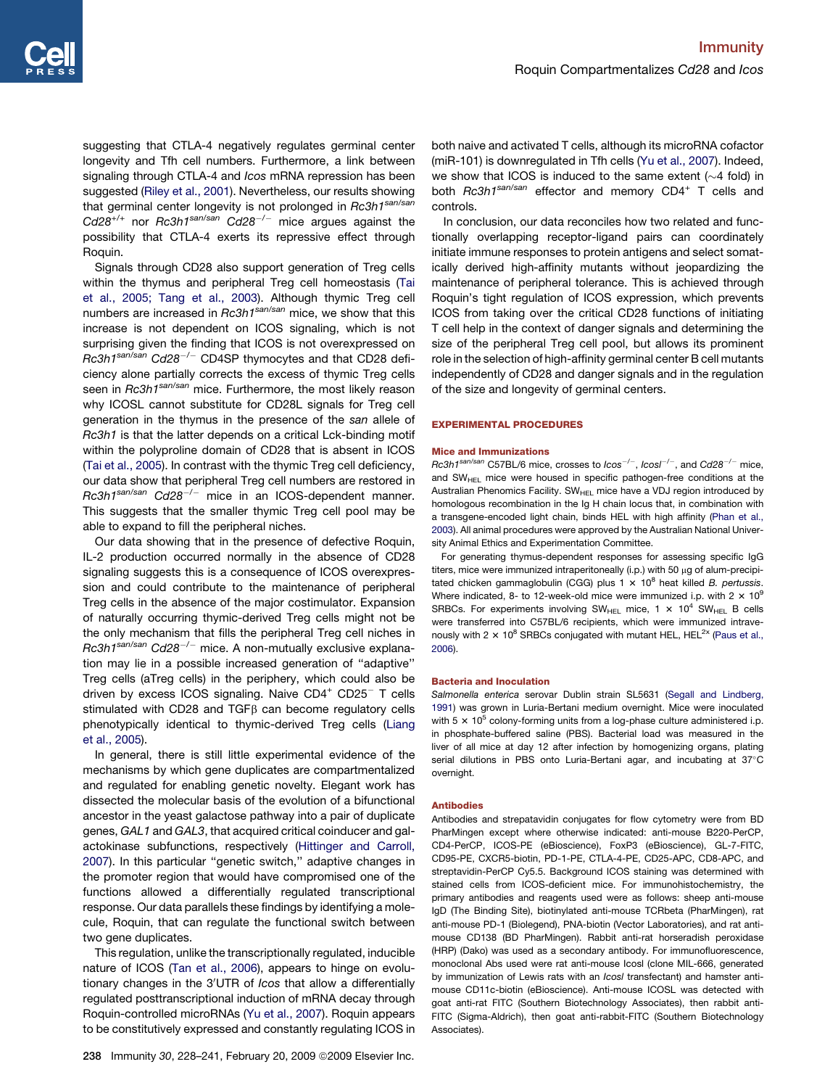suggesting that CTLA-4 negatively regulates germinal center longevity and Tfh cell numbers. Furthermore, a link between signaling through CTLA-4 and *Icos* mRNA repression has been suggested ([Riley et al., 2001](#page-12-0)). Nevertheless, our results showing that germinal center longevity is not prolonged in *Rc3h1san/san Cd28+/+* nor *Rc3h1san/san Cd28*-*/*- mice argues against the possibility that CTLA-4 exerts its repressive effect through Roquin.

Signals through CD28 also support generation of Treg cells within the thymus and peripheral Treg cell homeostasis ([Tai](#page-12-0) [et al., 2005; Tang et al., 2003](#page-12-0)). Although thymic Treg cell numbers are increased in *Rc3h1san/san* mice, we show that this increase is not dependent on ICOS signaling, which is not surprising given the finding that ICOS is not overexpressed on *Rc3h1san/san Cd28*-*/*- CD4SP thymocytes and that CD28 deficiency alone partially corrects the excess of thymic Treg cells seen in *Rc3h1san/san* mice. Furthermore, the most likely reason why ICOSL cannot substitute for CD28L signals for Treg cell generation in the thymus in the presence of the *san* allele of *Rc3h1* is that the latter depends on a critical Lck-binding motif within the polyproline domain of CD28 that is absent in ICOS ([Tai et al., 2005\)](#page-12-0). In contrast with the thymic Treg cell deficiency, our data show that peripheral Treg cell numbers are restored in *Rc3h1san/san Cd28*-*/*- mice in an ICOS-dependent manner. This suggests that the smaller thymic Treg cell pool may be able to expand to fill the peripheral niches.

Our data showing that in the presence of defective Roquin, IL-2 production occurred normally in the absence of CD28 signaling suggests this is a consequence of ICOS overexpression and could contribute to the maintenance of peripheral Treg cells in the absence of the major costimulator. Expansion of naturally occurring thymic-derived Treg cells might not be the only mechanism that fills the peripheral Treg cell niches in *Rc3h1san/san Cd28*-*/*- mice. A non-mutually exclusive explanation may lie in a possible increased generation of ''adaptive'' Treg cells (aTreg cells) in the periphery, which could also be driven by excess ICOS signaling. Naive CD4<sup>+</sup> CD25<sup>-</sup> T cells stimulated with CD28 and TGF $\beta$  can become regulatory cells phenotypically identical to thymic-derived Treg cells [\(Liang](#page-12-0) [et al., 2005\)](#page-12-0).

In general, there is still little experimental evidence of the mechanisms by which gene duplicates are compartmentalized and regulated for enabling genetic novelty. Elegant work has dissected the molecular basis of the evolution of a bifunctional ancestor in the yeast galactose pathway into a pair of duplicate genes, *GAL1* and *GAL3*, that acquired critical coinducer and galactokinase subfunctions, respectively ([Hittinger and Carroll,](#page-12-0) [2007](#page-12-0)). In this particular ''genetic switch,'' adaptive changes in the promoter region that would have compromised one of the functions allowed a differentially regulated transcriptional response. Our data parallels these findings by identifying a molecule, Roquin, that can regulate the functional switch between two gene duplicates.

This regulation, unlike the transcriptionally regulated, inducible nature of ICOS ([Tan et al., 2006](#page-12-0)), appears to hinge on evolutionary changes in the 3'UTR of *Icos* that allow a differentially regulated posttranscriptional induction of mRNA decay through Roquin-controlled microRNAs ([Yu et al., 2007\)](#page-13-0). Roquin appears to be constitutively expressed and constantly regulating ICOS in

both naive and activated T cells, although its microRNA cofactor (miR-101) is downregulated in Tfh cells ([Yu et al., 2007\)](#page-13-0). Indeed, we show that ICOS is induced to the same extent  $(\sim 4$  fold) in both *Rc3h1san/san* effector and memory CD4<sup>+</sup> T cells and controls.

In conclusion, our data reconciles how two related and functionally overlapping receptor-ligand pairs can coordinately initiate immune responses to protein antigens and select somatically derived high-affinity mutants without jeopardizing the maintenance of peripheral tolerance. This is achieved through Roquin's tight regulation of ICOS expression, which prevents ICOS from taking over the critical CD28 functions of initiating T cell help in the context of danger signals and determining the size of the peripheral Treg cell pool, but allows its prominent role in the selection of high-affinity germinal center B cell mutants independently of CD28 and danger signals and in the regulation of the size and longevity of germinal centers.

#### EXPERIMENTAL PROCEDURES

#### Mice and Immunizations

*Rc3h1san/san* C57BL/6 mice, crosses to *Icos*-*/*-, *Icosl*-*/*-, and *Cd28*-*/*- mice, and  $SW_{HEL}$  mice were housed in specific pathogen-free conditions at the Australian Phenomics Facility.  $SW_{HEL}$  mice have a VDJ region introduced by homologous recombination in the Ig H chain locus that, in combination with a transgene-encoded light chain, binds HEL with high affinity ([Phan et al.,](#page-12-0) [2003](#page-12-0)). All animal procedures were approved by the Australian National University Animal Ethics and Experimentation Committee.

For generating thymus-dependent responses for assessing specific IgG titers, mice were immunized intraperitoneally (i.p.) with 50  $\mu$ g of alum-precipitated chicken gammaglobulin (CGG) plus  $1 \times 10^8$  heat killed *B. pertussis*. Where indicated, 8- to 12-week-old mice were immunized i.p. with 2  $\times$  10<sup>9</sup> SRBCs. For experiments involving SW<sub>HFL</sub> mice, 1  $\times$  10<sup>4</sup> SW<sub>HFL</sub> B cells were transferred into C57BL/6 recipients, which were immunized intravenously with 2  $\times$  10<sup>8</sup> SRBCs conjugated with mutant HEL, HEL<sup>2x</sup> ([Paus et al.,](#page-12-0) [2006](#page-12-0)).

#### Bacteria and Inoculation

*Salmonella enterica* serovar Dublin strain SL5631 ([Segall and Lindberg,](#page-12-0) [1991](#page-12-0)) was grown in Luria-Bertani medium overnight. Mice were inoculated with 5  $\times$  10<sup>5</sup> colony-forming units from a log-phase culture administered i.p. in phosphate-buffered saline (PBS). Bacterial load was measured in the liver of all mice at day 12 after infection by homogenizing organs, plating serial dilutions in PBS onto Luria-Bertani agar, and incubating at 37°C overnight.

### Antibodies

Antibodies and strepatavidin conjugates for flow cytometry were from BD PharMingen except where otherwise indicated: anti-mouse B220-PerCP, CD4-PerCP, ICOS-PE (eBioscience), FoxP3 (eBioscience), GL-7-FITC, CD95-PE, CXCR5-biotin, PD-1-PE, CTLA-4-PE, CD25-APC, CD8-APC, and streptavidin-PerCP Cy5.5. Background ICOS staining was determined with stained cells from ICOS-deficient mice. For immunohistochemistry, the primary antibodies and reagents used were as follows: sheep anti-mouse IgD (The Binding Site), biotinylated anti-mouse TCRbeta (PharMingen), rat anti-mouse PD-1 (Biolegend), PNA-biotin (Vector Laboratories), and rat antimouse CD138 (BD PharMingen). Rabbit anti-rat horseradish peroxidase (HRP) (Dako) was used as a secondary antibody. For immunofluorescence, monoclonal Abs used were rat anti-mouse Icosl (clone MIL-666, generated by immunization of Lewis rats with an *Icosl* transfectant) and hamster antimouse CD11c-biotin (eBioscience). Anti-mouse ICOSL was detected with goat anti-rat FITC (Southern Biotechnology Associates), then rabbit anti-FITC (Sigma-Aldrich), then goat anti-rabbit-FITC (Southern Biotechnology Associates).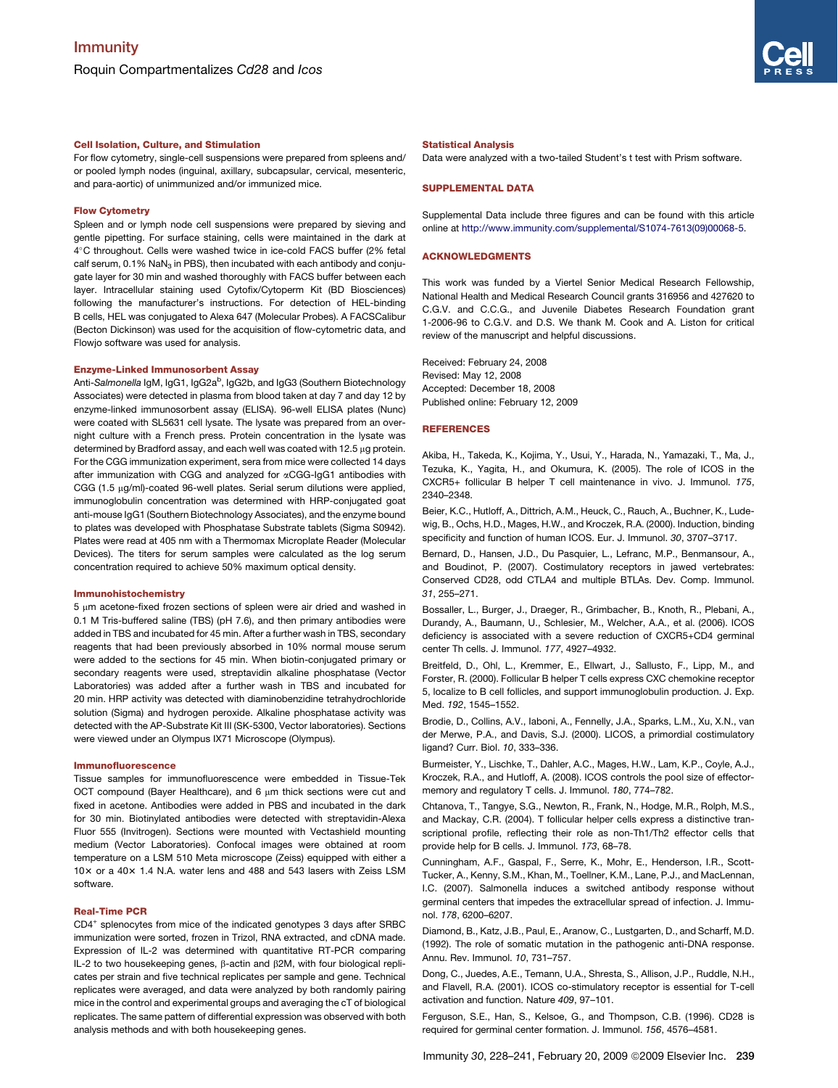### <span id="page-11-0"></span>Cell Isolation, Culture, and Stimulation

For flow cytometry, single-cell suspensions were prepared from spleens and/ or pooled lymph nodes (inguinal, axillary, subcapsular, cervical, mesenteric, and para-aortic) of unimmunized and/or immunized mice.

#### Flow Cytometry

Spleen and or lymph node cell suspensions were prepared by sieving and gentle pipetting. For surface staining, cells were maintained in the dark at 4°C throughout. Cells were washed twice in ice-cold FACS buffer (2% fetal calf serum,  $0.1\%$  NaN<sub>3</sub> in PBS), then incubated with each antibody and conjugate layer for 30 min and washed thoroughly with FACS buffer between each layer. Intracellular staining used Cytofix/Cytoperm Kit (BD Biosciences) following the manufacturer's instructions. For detection of HEL-binding B cells, HEL was conjugated to Alexa 647 (Molecular Probes). A FACSCalibur (Becton Dickinson) was used for the acquisition of flow-cytometric data, and Flowjo software was used for analysis.

#### Enzyme-Linked Immunosorbent Assay

Anti-Salmonella IgM, IgG1, IgG2a<sup>b</sup>, IgG2b, and IgG3 (Southern Biotechnology Associates) were detected in plasma from blood taken at day 7 and day 12 by enzyme-linked immunosorbent assay (ELISA). 96-well ELISA plates (Nunc) were coated with SL5631 cell lysate. The lysate was prepared from an overnight culture with a French press. Protein concentration in the lysate was determined by Bradford assay, and each well was coated with  $12.5 \mu g$  protein. For the CGG immunization experiment, sera from mice were collected 14 days after immunization with CGG and analyzed for aCGG-IgG1 antibodies with CGG (1.5  $\mu$ g/ml)-coated 96-well plates. Serial serum dilutions were applied, immunoglobulin concentration was determined with HRP-conjugated goat anti-mouse IgG1 (Southern Biotechnology Associates), and the enzyme bound to plates was developed with Phosphatase Substrate tablets (Sigma S0942). Plates were read at 405 nm with a Thermomax Microplate Reader (Molecular Devices). The titers for serum samples were calculated as the log serum concentration required to achieve 50% maximum optical density.

#### Immunohistochemistry

 $5 \mu m$  acetone-fixed frozen sections of spleen were air dried and washed in 0.1 M Tris-buffered saline (TBS) (pH 7.6), and then primary antibodies were added in TBS and incubated for 45 min. After a further wash in TBS, secondary reagents that had been previously absorbed in 10% normal mouse serum were added to the sections for 45 min. When biotin-conjugated primary or secondary reagents were used, streptavidin alkaline phosphatase (Vector Laboratories) was added after a further wash in TBS and incubated for 20 min. HRP activity was detected with diaminobenzidine tetrahydrochloride solution (Sigma) and hydrogen peroxide. Alkaline phosphatase activity was detected with the AP-Substrate Kit III (SK-5300, Vector laboratories). Sections were viewed under an Olympus IX71 Microscope (Olympus).

#### Immunofluorescence

Tissue samples for immunofluorescence were embedded in Tissue-Tek OCT compound (Bayer Healthcare), and 6  $\mu$ m thick sections were cut and fixed in acetone. Antibodies were added in PBS and incubated in the dark for 30 min. Biotinylated antibodies were detected with streptavidin-Alexa Fluor 555 (Invitrogen). Sections were mounted with Vectashield mounting medium (Vector Laboratories). Confocal images were obtained at room temperature on a LSM 510 Meta microscope (Zeiss) equipped with either a 103 or a 403 1.4 N.A. water lens and 488 and 543 lasers with Zeiss LSM software.

#### Real-Time PCR

CD4+ splenocytes from mice of the indicated genotypes 3 days after SRBC immunization were sorted, frozen in Trizol, RNA extracted, and cDNA made. Expression of IL-2 was determined with quantitative RT-PCR comparing IL-2 to two housekeeping genes, β-actin and β2M, with four biological replicates per strain and five technical replicates per sample and gene. Technical replicates were averaged, and data were analyzed by both randomly pairing mice in the control and experimental groups and averaging the cT of biological replicates. The same pattern of differential expression was observed with both analysis methods and with both housekeeping genes.

### Statistical Analysis

Data were analyzed with a two-tailed Student's t test with Prism software.

### SUPPLEMENTAL DATA

Supplemental Data include three figures and can be found with this article online at [http://www.immunity.com/supplemental/S1074-7613\(09\)00068-5.](http://www.immunity.com/supplemental/S1074-7613(09)00068-5)

### ACKNOWLEDGMENTS

This work was funded by a Viertel Senior Medical Research Fellowship, National Health and Medical Research Council grants 316956 and 427620 to C.G.V. and C.C.G., and Juvenile Diabetes Research Foundation grant 1-2006-96 to C.G.V. and D.S. We thank M. Cook and A. Liston for critical review of the manuscript and helpful discussions.

Received: February 24, 2008 Revised: May 12, 2008 Accepted: December 18, 2008 Published online: February 12, 2009

#### **REFERENCES**

Akiba, H., Takeda, K., Kojima, Y., Usui, Y., Harada, N., Yamazaki, T., Ma, J., Tezuka, K., Yagita, H., and Okumura, K. (2005). The role of ICOS in the CXCR5+ follicular B helper T cell maintenance in vivo. J. Immunol. *175*, 2340–2348.

Beier, K.C., Hutloff, A., Dittrich, A.M., Heuck, C., Rauch, A., Buchner, K., Ludewig, B., Ochs, H.D., Mages, H.W., and Kroczek, R.A. (2000). Induction, binding specificity and function of human ICOS. Eur. J. Immunol. *30*, 3707–3717.

Bernard, D., Hansen, J.D., Du Pasquier, L., Lefranc, M.P., Benmansour, A., and Boudinot, P. (2007). Costimulatory receptors in jawed vertebrates: Conserved CD28, odd CTLA4 and multiple BTLAs. Dev. Comp. Immunol. *31*, 255–271.

Bossaller, L., Burger, J., Draeger, R., Grimbacher, B., Knoth, R., Plebani, A., Durandy, A., Baumann, U., Schlesier, M., Welcher, A.A., et al. (2006). ICOS deficiency is associated with a severe reduction of CXCR5+CD4 germinal center Th cells. J. Immunol. *177*, 4927–4932.

Breitfeld, D., Ohl, L., Kremmer, E., Ellwart, J., Sallusto, F., Lipp, M., and Forster, R. (2000). Follicular B helper T cells express CXC chemokine receptor 5, localize to B cell follicles, and support immunoglobulin production. J. Exp. Med. *192*, 1545–1552.

Brodie, D., Collins, A.V., Iaboni, A., Fennelly, J.A., Sparks, L.M., Xu, X.N., van der Merwe, P.A., and Davis, S.J. (2000). LICOS, a primordial costimulatory ligand? Curr. Biol. *10*, 333–336.

Burmeister, Y., Lischke, T., Dahler, A.C., Mages, H.W., Lam, K.P., Coyle, A.J., Kroczek, R.A., and Hutloff, A. (2008). ICOS controls the pool size of effectormemory and regulatory T cells. J. Immunol. *180*, 774–782.

Chtanova, T., Tangye, S.G., Newton, R., Frank, N., Hodge, M.R., Rolph, M.S., and Mackay, C.R. (2004). T follicular helper cells express a distinctive transcriptional profile, reflecting their role as non-Th1/Th2 effector cells that provide help for B cells. J. Immunol. *173*, 68–78.

Cunningham, A.F., Gaspal, F., Serre, K., Mohr, E., Henderson, I.R., Scott-Tucker, A., Kenny, S.M., Khan, M., Toellner, K.M., Lane, P.J., and MacLennan, I.C. (2007). Salmonella induces a switched antibody response without germinal centers that impedes the extracellular spread of infection. J. Immunol. *178*, 6200–6207.

Diamond, B., Katz, J.B., Paul, E., Aranow, C., Lustgarten, D., and Scharff, M.D. (1992). The role of somatic mutation in the pathogenic anti-DNA response. Annu. Rev. Immunol. *10*, 731–757.

Dong, C., Juedes, A.E., Temann, U.A., Shresta, S., Allison, J.P., Ruddle, N.H., and Flavell, R.A. (2001). ICOS co-stimulatory receptor is essential for T-cell activation and function. Nature *409*, 97–101.

Ferguson, S.E., Han, S., Kelsoe, G., and Thompson, C.B. (1996). CD28 is required for germinal center formation. J. Immunol. *156*, 4576–4581.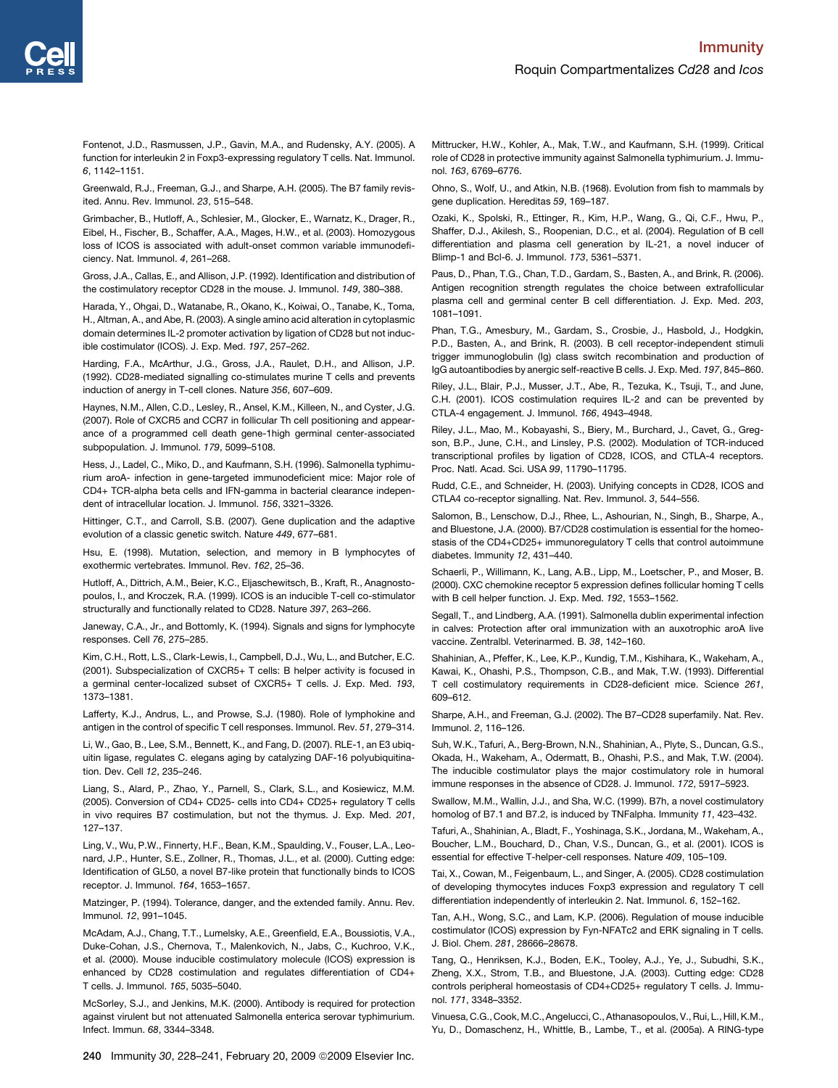<span id="page-12-0"></span>Fontenot, J.D., Rasmussen, J.P., Gavin, M.A., and Rudensky, A.Y. (2005). A function for interleukin 2 in Foxp3-expressing regulatory T cells. Nat. Immunol. *6*, 1142–1151.

Greenwald, R.J., Freeman, G.J., and Sharpe, A.H. (2005). The B7 family revisited. Annu. Rev. Immunol. *23*, 515–548.

Grimbacher, B., Hutloff, A., Schlesier, M., Glocker, E., Warnatz, K., Drager, R., Eibel, H., Fischer, B., Schaffer, A.A., Mages, H.W., et al. (2003). Homozygous loss of ICOS is associated with adult-onset common variable immunodeficiency. Nat. Immunol. *4*, 261–268.

Gross, J.A., Callas, E., and Allison, J.P. (1992). Identification and distribution of the costimulatory receptor CD28 in the mouse. J. Immunol. *149*, 380–388.

Harada, Y., Ohgai, D., Watanabe, R., Okano, K., Koiwai, O., Tanabe, K., Toma, H., Altman, A., and Abe, R. (2003). A single amino acid alteration in cytoplasmic domain determines IL-2 promoter activation by ligation of CD28 but not inducible costimulator (ICOS). J. Exp. Med. *197*, 257–262.

Harding, F.A., McArthur, J.G., Gross, J.A., Raulet, D.H., and Allison, J.P. (1992). CD28-mediated signalling co-stimulates murine T cells and prevents induction of anergy in T-cell clones. Nature *356*, 607–609.

Haynes, N.M., Allen, C.D., Lesley, R., Ansel, K.M., Killeen, N., and Cyster, J.G. (2007). Role of CXCR5 and CCR7 in follicular Th cell positioning and appearance of a programmed cell death gene-1high germinal center-associated subpopulation. J. Immunol. *179*, 5099–5108.

Hess, J., Ladel, C., Miko, D., and Kaufmann, S.H. (1996). Salmonella typhimurium aroA- infection in gene-targeted immunodeficient mice: Major role of CD4+ TCR-alpha beta cells and IFN-gamma in bacterial clearance independent of intracellular location. J. Immunol. *156*, 3321–3326.

Hittinger, C.T., and Carroll, S.B. (2007). Gene duplication and the adaptive evolution of a classic genetic switch. Nature *449*, 677–681.

Hsu, E. (1998). Mutation, selection, and memory in B lymphocytes of exothermic vertebrates. Immunol. Rev. *162*, 25–36.

Hutloff, A., Dittrich, A.M., Beier, K.C., Eljaschewitsch, B., Kraft, R., Anagnostopoulos, I., and Kroczek, R.A. (1999). ICOS is an inducible T-cell co-stimulator structurally and functionally related to CD28. Nature *397*, 263–266.

Janeway, C.A., Jr., and Bottomly, K. (1994). Signals and signs for lymphocyte responses. Cell *76*, 275–285.

Kim, C.H., Rott, L.S., Clark-Lewis, I., Campbell, D.J., Wu, L., and Butcher, E.C. (2001). Subspecialization of CXCR5+ T cells: B helper activity is focused in a germinal center-localized subset of CXCR5+ T cells. J. Exp. Med. *193*, 1373–1381.

Lafferty, K.J., Andrus, L., and Prowse, S.J. (1980). Role of lymphokine and antigen in the control of specific T cell responses. Immunol. Rev. *51*, 279–314.

Li, W., Gao, B., Lee, S.M., Bennett, K., and Fang, D. (2007). RLE-1, an E3 ubiquitin ligase, regulates C. elegans aging by catalyzing DAF-16 polyubiquitination. Dev. Cell *12*, 235–246.

Liang, S., Alard, P., Zhao, Y., Parnell, S., Clark, S.L., and Kosiewicz, M.M. (2005). Conversion of CD4+ CD25- cells into CD4+ CD25+ regulatory T cells in vivo requires B7 costimulation, but not the thymus. J. Exp. Med. *201*, 127–137.

Ling, V., Wu, P.W., Finnerty, H.F., Bean, K.M., Spaulding, V., Fouser, L.A., Leonard, J.P., Hunter, S.E., Zollner, R., Thomas, J.L., et al. (2000). Cutting edge: Identification of GL50, a novel B7-like protein that functionally binds to ICOS receptor. J. Immunol. *164*, 1653–1657.

Matzinger, P. (1994). Tolerance, danger, and the extended family. Annu. Rev. Immunol. *12*, 991–1045.

McAdam, A.J., Chang, T.T., Lumelsky, A.E., Greenfield, E.A., Boussiotis, V.A., Duke-Cohan, J.S., Chernova, T., Malenkovich, N., Jabs, C., Kuchroo, V.K., et al. (2000). Mouse inducible costimulatory molecule (ICOS) expression is enhanced by CD28 costimulation and regulates differentiation of CD4+ T cells. J. Immunol. *165*, 5035–5040.

McSorley, S.J., and Jenkins, M.K. (2000). Antibody is required for protection against virulent but not attenuated Salmonella enterica serovar typhimurium. Infect. Immun. *68*, 3344–3348.

Mittrucker, H.W., Kohler, A., Mak, T.W., and Kaufmann, S.H. (1999). Critical role of CD28 in protective immunity against Salmonella typhimurium. J. Immunol. *163*, 6769–6776.

Ohno, S., Wolf, U., and Atkin, N.B. (1968). Evolution from fish to mammals by gene duplication. Hereditas *59*, 169–187.

Ozaki, K., Spolski, R., Ettinger, R., Kim, H.P., Wang, G., Qi, C.F., Hwu, P., Shaffer, D.J., Akilesh, S., Roopenian, D.C., et al. (2004). Regulation of B cell differentiation and plasma cell generation by IL-21, a novel inducer of Blimp-1 and Bcl-6. J. Immunol. *173*, 5361–5371.

Paus, D., Phan, T.G., Chan, T.D., Gardam, S., Basten, A., and Brink, R. (2006). Antigen recognition strength regulates the choice between extrafollicular plasma cell and germinal center B cell differentiation. J. Exp. Med. *203*, 1081–1091.

Phan, T.G., Amesbury, M., Gardam, S., Crosbie, J., Hasbold, J., Hodgkin, P.D., Basten, A., and Brink, R. (2003). B cell receptor-independent stimuli trigger immunoglobulin (Ig) class switch recombination and production of IgG autoantibodies by anergic self-reactive B cells. J. Exp. Med. *197*, 845–860.

Riley, J.L., Blair, P.J., Musser, J.T., Abe, R., Tezuka, K., Tsuji, T., and June, C.H. (2001). ICOS costimulation requires IL-2 and can be prevented by CTLA-4 engagement. J. Immunol. *166*, 4943–4948.

Riley, J.L., Mao, M., Kobayashi, S., Biery, M., Burchard, J., Cavet, G., Gregson, B.P., June, C.H., and Linsley, P.S. (2002). Modulation of TCR-induced transcriptional profiles by ligation of CD28, ICOS, and CTLA-4 receptors. Proc. Natl. Acad. Sci. USA *99*, 11790–11795.

Rudd, C.E., and Schneider, H. (2003). Unifying concepts in CD28, ICOS and CTLA4 co-receptor signalling. Nat. Rev. Immunol. *3*, 544–556.

Salomon, B., Lenschow, D.J., Rhee, L., Ashourian, N., Singh, B., Sharpe, A., and Bluestone, J.A. (2000). B7/CD28 costimulation is essential for the homeostasis of the CD4+CD25+ immunoregulatory T cells that control autoimmune diabetes. Immunity *12*, 431–440.

Schaerli, P., Willimann, K., Lang, A.B., Lipp, M., Loetscher, P., and Moser, B. (2000). CXC chemokine receptor 5 expression defines follicular homing T cells with B cell helper function. J. Exp. Med. *192*, 1553–1562.

Segall, T., and Lindberg, A.A. (1991). Salmonella dublin experimental infection in calves: Protection after oral immunization with an auxotrophic aroA live vaccine. Zentralbl. Veterinarmed. B. *38*, 142–160.

Shahinian, A., Pfeffer, K., Lee, K.P., Kundig, T.M., Kishihara, K., Wakeham, A., Kawai, K., Ohashi, P.S., Thompson, C.B., and Mak, T.W. (1993). Differential T cell costimulatory requirements in CD28-deficient mice. Science *261*, 609–612.

Sharpe, A.H., and Freeman, G.J. (2002). The B7–CD28 superfamily. Nat. Rev. Immunol. *2*, 116–126.

Suh, W.K., Tafuri, A., Berg-Brown, N.N., Shahinian, A., Plyte, S., Duncan, G.S., Okada, H., Wakeham, A., Odermatt, B., Ohashi, P.S., and Mak, T.W. (2004). The inducible costimulator plays the major costimulatory role in humoral immune responses in the absence of CD28. J. Immunol. *172*, 5917–5923.

Swallow, M.M., Wallin, J.J., and Sha, W.C. (1999). B7h, a novel costimulatory homolog of B7.1 and B7.2, is induced by TNFalpha. Immunity *11*, 423–432.

Tafuri, A., Shahinian, A., Bladt, F., Yoshinaga, S.K., Jordana, M., Wakeham, A., Boucher, L.M., Bouchard, D., Chan, V.S., Duncan, G., et al. (2001). ICOS is essential for effective T-helper-cell responses. Nature *409*, 105–109.

Tai, X., Cowan, M., Feigenbaum, L., and Singer, A. (2005). CD28 costimulation of developing thymocytes induces Foxp3 expression and regulatory T cell differentiation independently of interleukin 2. Nat. Immunol. *6*, 152–162.

Tan, A.H., Wong, S.C., and Lam, K.P. (2006). Regulation of mouse inducible costimulator (ICOS) expression by Fyn-NFATc2 and ERK signaling in T cells. J. Biol. Chem. *281*, 28666–28678.

Tang, Q., Henriksen, K.J., Boden, E.K., Tooley, A.J., Ye, J., Subudhi, S.K., Zheng, X.X., Strom, T.B., and Bluestone, J.A. (2003). Cutting edge: CD28 controls peripheral homeostasis of CD4+CD25+ regulatory T cells. J. Immunol. *171*, 3348–3352.

Vinuesa, C.G., Cook, M.C., Angelucci, C., Athanasopoulos, V., Rui, L., Hill, K.M., Yu, D., Domaschenz, H., Whittle, B., Lambe, T., et al. (2005a). A RING-type

240 Immunity 30, 228-241, February 20, 2009 © 2009 Elsevier Inc.